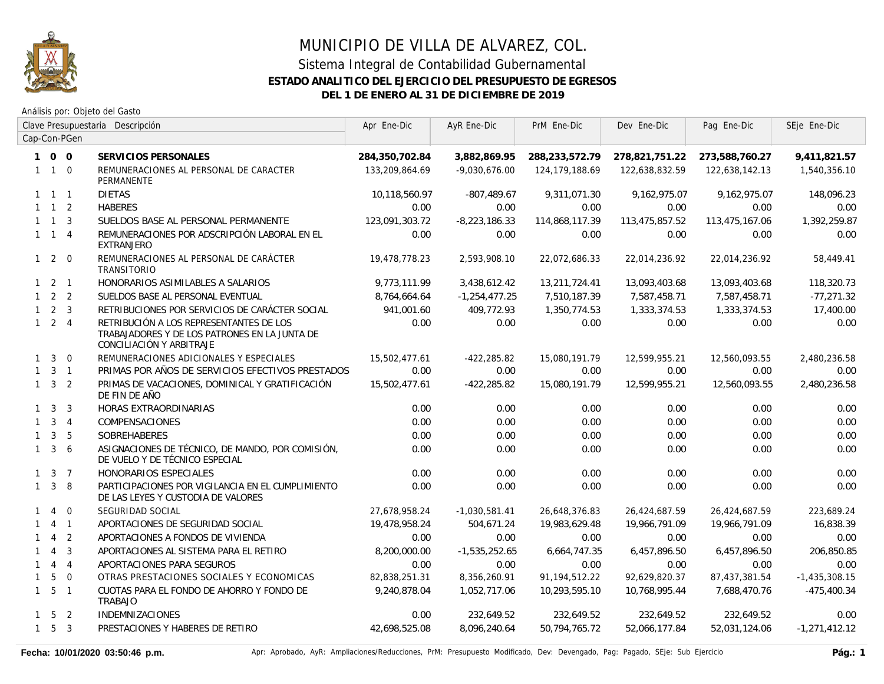

Análisis por: Objeto del Gasto

|              | Clave Presupuestaria Descripción |                | Apr Ene-Dic                                                                                                          | AyR Ene-Dic    | PrM Ene-Dic     | Dev Ene-Dic      | Pag Ene-Dic    | SEje Ene-Dic   |                 |
|--------------|----------------------------------|----------------|----------------------------------------------------------------------------------------------------------------------|----------------|-----------------|------------------|----------------|----------------|-----------------|
|              |                                  | Cap-Con-PGen   |                                                                                                                      |                |                 |                  |                |                |                 |
|              | 100                              |                | SERVICIOS PERSONALES                                                                                                 | 284,350,702.84 | 3,882,869.95    | 288,233,572.79   | 278,821,751.22 | 273,588,760.27 | 9,411,821.57    |
|              | $1\quad1\quad0$                  |                | REMUNERACIONES AL PERSONAL DE CARACTER<br>PERMANENTE                                                                 | 133,209,864.69 | $-9,030,676.00$ | 124, 179, 188.69 | 122,638,832.59 | 122,638,142.13 | 1,540,356.10    |
|              | $1 \quad 1 \quad 1$              |                | <b>DIETAS</b>                                                                                                        | 10,118,560.97  | $-807,489.67$   | 9,311,071.30     | 9,162,975.07   | 9,162,975.07   | 148,096.23      |
|              | $1 \quad 1 \quad 2$              |                | <b>HABERES</b>                                                                                                       | 0.00           | 0.00            | 0.00             | 0.00           | 0.00           | 0.00            |
|              | $1 \quad 1 \quad 3$              |                | SUELDOS BASE AL PERSONAL PERMANENTE                                                                                  | 123.091.303.72 | $-8,223,186.33$ | 114,868,117.39   | 113,475,857.52 | 113,475,167.06 | 1,392,259.87    |
|              | $1 \quad 1 \quad 4$              |                | REMUNERACIONES POR ADSCRIPCIÓN LABORAL EN EL<br><b>EXTRANJERO</b>                                                    | 0.00           | 0.00            | 0.00             | 0.00           | 0.00           | 0.00            |
|              | $1 \quad 2 \quad 0$              |                | REMUNERACIONES AL PERSONAL DE CARÁCTER<br><b>TRANSITORIO</b>                                                         | 19,478,778.23  | 2,593,908.10    | 22,072,686.33    | 22,014,236.92  | 22,014,236.92  | 58,449.41       |
|              | $1 \quad 2 \quad 1$              |                | HONORARIOS ASIMILABLES A SALARIOS                                                                                    | 9.773.111.99   | 3,438,612.42    | 13,211,724.41    | 13,093,403.68  | 13,093,403.68  | 118,320.73      |
|              | $1 \quad 2 \quad 2$              |                | SUELDOS BASE AL PERSONAL EVENTUAL                                                                                    | 8,764,664.64   | $-1,254,477.25$ | 7,510,187.39     | 7,587,458.71   | 7,587,458.71   | $-77,271.32$    |
|              | $1 \quad 2 \quad 3$              |                | RETRIBUCIONES POR SERVICIOS DE CARÁCTER SOCIAL                                                                       | 941,001.60     | 409,772.93      | 1,350,774.53     | 1,333,374.53   | 1,333,374.53   | 17,400.00       |
|              | $1 \quad 2 \quad 4$              |                | RETRIBUCIÓN A LOS REPRESENTANTES DE LOS<br>TRABAJADORES Y DE LOS PATRONES EN LA JUNTA DE<br>CONCILIACIÓN Y ARBITRAJE | 0.00           | 0.00            | 0.00             | 0.00           | 0.00           | 0.00            |
| $\mathbf{1}$ | $\mathbf{3}$                     | $\overline{0}$ | REMUNERACIONES ADICIONALES Y ESPECIALES                                                                              | 15,502,477.61  | $-422,285.82$   | 15,080,191.79    | 12,599,955.21  | 12,560,093.55  | 2,480,236.58    |
| $\mathbf{1}$ |                                  | $3 \quad 1$    | PRIMAS POR AÑOS DE SERVICIOS EFECTIVOS PRESTADOS                                                                     | 0.00           | 0.00            | 0.00             | 0.00           | 0.00           | 0.00            |
|              | $1 \quad 3 \quad 2$              |                | PRIMAS DE VACACIONES, DOMINICAL Y GRATIFICACIÓN<br>DE FIN DE AÑO                                                     | 15,502,477.61  | $-422,285.82$   | 15,080,191.79    | 12,599,955.21  | 12,560,093.55  | 2,480,236.58    |
|              | $1 \quad 3$                      | $\overline{3}$ | HORAS EXTRAORDINARIAS                                                                                                | 0.00           | 0.00            | 0.00             | 0.00           | 0.00           | 0.00            |
| $\mathbf{1}$ |                                  | 3 <sub>1</sub> | COMPENSACIONES                                                                                                       | 0.00           | 0.00            | 0.00             | 0.00           | 0.00           | 0.00            |
| $\mathbf{1}$ | $\mathbf{3}$                     | 5              | SOBREHABERES                                                                                                         | 0.00           | 0.00            | 0.00             | 0.00           | 0.00           | 0.00            |
|              | $1 \quad 3$                      | 6              | ASIGNACIONES DE TÉCNICO, DE MANDO, POR COMISIÓN,<br>DE VUELO Y DE TÉCNICO ESPECIAL                                   | 0.00           | 0.00            | 0.00             | 0.00           | 0.00           | 0.00            |
|              | $1 \quad 3 \quad 7$              |                | HONORARIOS ESPECIALES                                                                                                | 0.00           | 0.00            | 0.00             | 0.00           | 0.00           | 0.00            |
|              | $1 \quad 3$                      | -8             | PARTICIPACIONES POR VIGILANCIA EN EL CUMPLIMIENTO<br>DE LAS LEYES Y CUSTODIA DE VALORES                              | 0.00           | 0.00            | 0.00             | 0.00           | 0.00           | 0.00            |
| $\mathbf{1}$ | $\overline{4}$                   | $\overline{0}$ | SEGURIDAD SOCIAL                                                                                                     | 27,678,958.24  | $-1,030,581.41$ | 26,648,376.83    | 26,424,687.59  | 26,424,687.59  | 223,689.24      |
| $\mathbf{1}$ | $\overline{4}$                   | $\overline{1}$ | APORTACIONES DE SEGURIDAD SOCIAL                                                                                     | 19,478,958.24  | 504,671.24      | 19,983,629.48    | 19,966,791.09  | 19,966,791.09  | 16,838.39       |
| 1            | $\overline{4}$                   | 2              | APORTACIONES A FONDOS DE VIVIENDA                                                                                    | 0.00           | 0.00            | 0.00             | 0.00           | 0.00           | 0.00            |
| $\mathbf{1}$ | $\overline{4}$                   | $\overline{3}$ | APORTACIONES AL SISTEMA PARA EL RETIRO                                                                               | 8,200,000.00   | $-1,535,252.65$ | 6,664,747.35     | 6,457,896.50   | 6,457,896.50   | 206,850.85      |
| $\mathbf{1}$ | $\overline{4}$                   | $\overline{4}$ | APORTACIONES PARA SEGUROS                                                                                            | 0.00           | 0.00            | 0.00             | 0.00           | 0.00           | 0.00            |
| $\mathbf{1}$ | 5                                | $\overline{0}$ | OTRAS PRESTACIONES SOCIALES Y ECONOMICAS                                                                             | 82,838,251.31  | 8,356,260.91    | 91,194,512.22    | 92,629,820.37  | 87,437,381.54  | $-1,435,308.15$ |
|              | $1\quad 5\quad 1$                |                | CUOTAS PARA EL FONDO DE AHORRO Y FONDO DE<br><b>TRABAJO</b>                                                          | 9,240,878.04   | 1,052,717.06    | 10,293,595.10    | 10,768,995.44  | 7,688,470.76   | $-475,400.34$   |
|              | $1\quad 5\quad 2$                |                | <b>INDEMNIZACIONES</b>                                                                                               | 0.00           | 232,649.52      | 232,649.52       | 232,649.52     | 232,649.52     | 0.00            |
|              | $1\quad 5\quad 3$                |                | PRESTACIONES Y HABERES DE RETIRO                                                                                     | 42,698,525.08  | 8,096,240.64    | 50,794,765.72    | 52,066,177.84  | 52,031,124.06  | $-1,271,412.12$ |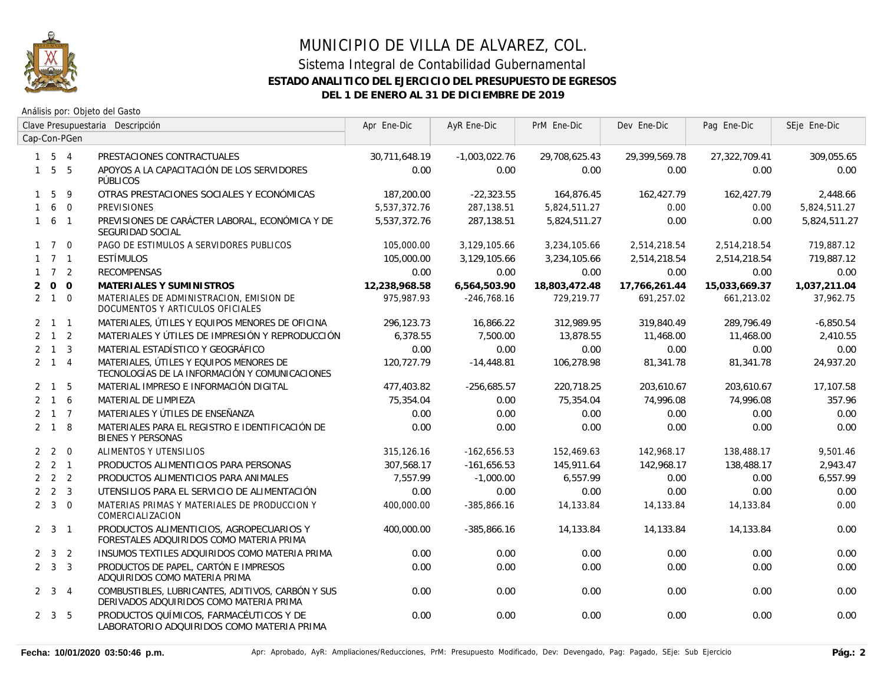

|                | Clave Presupuestaria Descripción |                | Apr Ene-Dic                                                                                  | AyR Ene-Dic   | PrM Ene-Dic     | Dev Ene-Dic   | Pag Ene-Dic   | SEje Ene-Dic  |              |
|----------------|----------------------------------|----------------|----------------------------------------------------------------------------------------------|---------------|-----------------|---------------|---------------|---------------|--------------|
|                |                                  | Cap-Con-PGen   |                                                                                              |               |                 |               |               |               |              |
|                | $1 \quad 5 \quad 4$              |                | PRESTACIONES CONTRACTUALES                                                                   | 30,711,648.19 | $-1,003,022.76$ | 29,708,625.43 | 29,399,569.78 | 27,322,709.41 | 309,055.65   |
|                | $1\quad 5\quad 5$                |                | APOYOS A LA CAPACITACIÓN DE LOS SERVIDORES<br>PÚBLICOS                                       | 0.00          | 0.00            | 0.00          | 0.00          | 0.00          | 0.00         |
| $\mathbf{1}$   | 5                                | 9              | OTRAS PRESTACIONES SOCIALES Y ECONÓMICAS                                                     | 187,200.00    | $-22,323.55$    | 164,876.45    | 162,427.79    | 162,427.79    | 2,448.66     |
| $\mathbf{1}$   |                                  | 6 0            | <b>PREVISIONES</b>                                                                           | 5,537,372.76  | 287,138.51      | 5,824,511.27  | 0.00          | 0.00          | 5,824,511.27 |
|                | $1\quad 6\quad 1$                |                | PREVISIONES DE CARÁCTER LABORAL, ECONÓMICA Y DE<br>SEGURIDAD SOCIAL                          | 5,537,372.76  | 287.138.51      | 5,824,511.27  | 0.00          | 0.00          | 5,824,511.27 |
|                | $1 \quad 7 \quad 0$              |                | PAGO DE ESTIMULOS A SERVIDORES PUBLICOS                                                      | 105,000.00    | 3,129,105.66    | 3,234,105.66  | 2,514,218.54  | 2,514,218.54  | 719,887.12   |
|                | $1 \quad 7 \quad 1$              |                | ESTÍMULOS                                                                                    | 105,000.00    | 3,129,105.66    | 3,234,105.66  | 2,514,218.54  | 2,514,218.54  | 719.887.12   |
|                | $1 \quad 7 \quad 2$              |                | <b>RECOMPENSAS</b>                                                                           | 0.00          | 0.00            | 0.00          | 0.00          | 0.00          | 0.00         |
| $\overline{2}$ | $\overline{O}$                   | $\overline{0}$ | MATERIALES Y SUMINISTROS                                                                     | 12,238,968.58 | 6,564,503.90    | 18,803,472.48 | 17,766,261.44 | 15,033,669.37 | 1,037,211.04 |
|                | $2 \quad 1 \quad 0$              |                | MATERIALES DE ADMINISTRACION, EMISION DE<br>DOCUMENTOS Y ARTICULOS OFICIALES                 | 975.987.93    | $-246.768.16$   | 729.219.77    | 691.257.02    | 661,213.02    | 37,962.75    |
|                | $2 \quad 1 \quad 1$              |                | MATERIALES, ÚTILES Y EQUIPOS MENORES DE OFICINA                                              | 296,123.73    | 16,866.22       | 312,989.95    | 319,840.49    | 289,796.49    | $-6,850.54$  |
|                | $2 \quad 1 \quad 2$              |                | MATERIALES Y ÚTILES DE IMPRESIÓN Y REPRODUCCIÓN                                              | 6,378.55      | 7,500.00        | 13,878.55     | 11,468.00     | 11,468.00     | 2,410.55     |
|                | $2 \quad 1 \quad 3$              |                | MATERIAL ESTADÍSTICO Y GEOGRÁFICO                                                            | 0.00          | 0.00            | 0.00          | 0.00          | 0.00          | 0.00         |
|                | $2 \quad 1 \quad 4$              |                | MATERIALES, ÚTILES Y EQUIPOS MENORES DE<br>TECNOLOGÍAS DE LA INFORMACIÓN Y COMUNICACIONES    | 120,727.79    | $-14,448.81$    | 106,278.98    | 81,341.78     | 81,341.78     | 24,937.20    |
|                | 2 1                              | 5              | MATERIAL IMPRESO E INFORMACIÓN DIGITAL                                                       | 477,403.82    | $-256,685.57$   | 220,718.25    | 203,610.67    | 203,610.67    | 17,107.58    |
|                | $2 \quad 1 \quad 6$              |                | MATERIAL DE LIMPIEZA                                                                         | 75,354.04     | 0.00            | 75,354.04     | 74,996.08     | 74,996.08     | 357.96       |
|                | $2 \t1 \t7$                      |                | MATERIALES Y ÚTILES DE ENSEÑANZA                                                             | 0.00          | 0.00            | 0.00          | 0.00          | 0.00          | 0.00         |
|                | $2 \quad 1 \quad 8$              |                | MATERIALES PARA EL REGISTRO E IDENTIFICACIÓN DE<br><b>BIENES Y PERSONAS</b>                  | 0.00          | 0.00            | 0.00          | 0.00          | 0.00          | 0.00         |
|                | $2 \quad 2 \quad 0$              |                | ALIMENTOS Y UTENSILIOS                                                                       | 315,126.16    | $-162,656.53$   | 152,469.63    | 142,968.17    | 138,488.17    | 9,501.46     |
|                | $2 \quad 2 \quad 1$              |                | PRODUCTOS ALIMENTICIOS PARA PERSONAS                                                         | 307,568.17    | $-161,656.53$   | 145,911.64    | 142,968.17    | 138,488.17    | 2,943.47     |
|                | $2 \quad 2 \quad 2$              |                | PRODUCTOS ALIMENTICIOS PARA ANIMALES                                                         | 7.557.99      | $-1,000.00$     | 6,557.99      | 0.00          | 0.00          | 6,557.99     |
|                | $2 \quad 2 \quad 3$              |                | UTENSILIOS PARA EL SERVICIO DE ALIMENTACIÓN                                                  | 0.00          | 0.00            | 0.00          | 0.00          | 0.00          | 0.00         |
|                | $2 \quad 3 \quad 0$              |                | MATERIAS PRIMAS Y MATERIALES DE PRODUCCION Y<br>COMERCIALIZACION                             | 400,000.00    | $-385,866.16$   | 14,133.84     | 14,133.84     | 14,133.84     | 0.00         |
|                | $2 \quad 3 \quad 1$              |                | PRODUCTOS ALIMENTICIOS, AGROPECUARIOS Y<br>FORESTALES ADQUIRIDOS COMO MATERIA PRIMA          | 400,000.00    | $-385,866.16$   | 14,133.84     | 14,133.84     | 14,133.84     | 0.00         |
|                | $2 \quad 3 \quad 2$              |                | INSUMOS TEXTILES ADQUIRIDOS COMO MATERIA PRIMA                                               | 0.00          | 0.00            | 0.00          | 0.00          | 0.00          | 0.00         |
|                | $2 \quad 3 \quad 3$              |                | PRODUCTOS DE PAPEL, CARTÓN E IMPRESOS<br>ADQUIRIDOS COMO MATERIA PRIMA                       | 0.00          | 0.00            | 0.00          | 0.00          | 0.00          | 0.00         |
|                | $2 \quad 3 \quad 4$              |                | COMBUSTIBLES, LUBRICANTES, ADITIVOS, CARBÓN Y SUS<br>DERIVADOS ADQUIRIDOS COMO MATERIA PRIMA | 0.00          | 0.00            | 0.00          | 0.00          | 0.00          | 0.00         |
|                | $2 \quad 3 \quad 5$              |                | PRODUCTOS QUÍMICOS, FARMACÉUTICOS Y DE<br>LABORATORIO ADQUIRIDOS COMO MATERIA PRIMA          | 0.00          | 0.00            | 0.00          | 0.00          | 0.00          | 0.00         |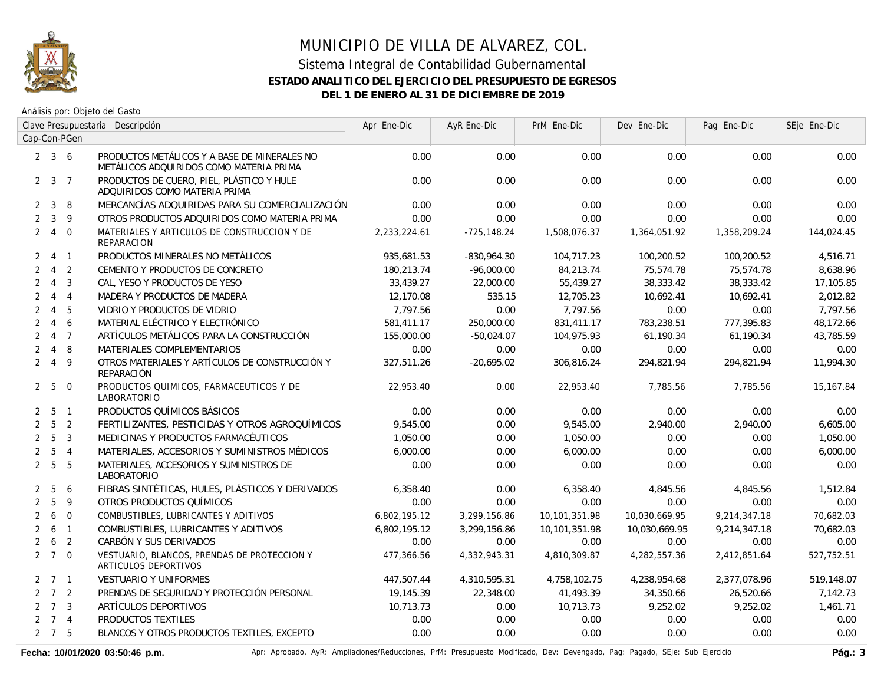

Análisis por: Objeto del Gasto

|                | Clave Presupuestaria Descripción |                |                                                                                         | Apr Ene-Dic  | AyR Ene-Dic   | PrM Ene-Dic   | Dev Ene-Dic   | Pag Ene-Dic  | SEje Ene-Dic |
|----------------|----------------------------------|----------------|-----------------------------------------------------------------------------------------|--------------|---------------|---------------|---------------|--------------|--------------|
|                |                                  | Cap-Con-PGen   |                                                                                         |              |               |               |               |              |              |
|                | $2 \quad 3 \quad 6$              |                | PRODUCTOS METÁLICOS Y A BASE DE MINERALES NO<br>METÁLICOS ADQUIRIDOS COMO MATERIA PRIMA | 0.00         | 0.00          | 0.00          | 0.00          | 0.00         | 0.00         |
|                | $2 \quad 3 \quad 7$              |                | PRODUCTOS DE CUERO, PIEL, PLÁSTICO Y HULE<br>ADQUIRIDOS COMO MATERIA PRIMA              | 0.00         | 0.00          | 0.00          | 0.00          | 0.00         | 0.00         |
| $\overline{2}$ | $\mathbf{3}$                     | 8              | MERCANCÍAS ADQUIRIDAS PARA SU COMERCIALIZACIÓN                                          | 0.00         | 0.00          | 0.00          | 0.00          | 0.00         | 0.00         |
| $\overline{2}$ | $\mathbf{3}$                     | 9              | OTROS PRODUCTOS ADQUIRIDOS COMO MATERIA PRIMA                                           | 0.00         | 0.00          | 0.00          | 0.00          | 0.00         | 0.00         |
| $\overline{2}$ | $\overline{4}$                   | $\overline{0}$ | MATERIALES Y ARTICULOS DE CONSTRUCCION Y DE<br><b>REPARACION</b>                        | 2,233,224.61 | $-725,148.24$ | 1,508,076.37  | 1,364,051.92  | 1,358,209.24 | 144,024.45   |
| $\mathbf{2}$   |                                  | 4 1            | PRODUCTOS MINERALES NO METÁLICOS                                                        | 935,681.53   | $-830,964.30$ | 104,717.23    | 100,200.52    | 100,200.52   | 4,516.71     |
| $\overline{2}$ | $\overline{4}$                   | $\overline{2}$ | CEMENTO Y PRODUCTOS DE CONCRETO                                                         | 180,213.74   | $-96,000.00$  | 84,213.74     | 75,574.78     | 75,574.78    | 8,638.96     |
| $\overline{2}$ | $\overline{4}$                   | $\overline{3}$ | CAL, YESO Y PRODUCTOS DE YESO                                                           | 33,439.27    | 22,000.00     | 55,439.27     | 38,333.42     | 38,333.42    | 17,105.85    |
| $\overline{2}$ |                                  | $4\quad 4$     | MADERA Y PRODUCTOS DE MADERA                                                            | 12.170.08    | 535.15        | 12,705.23     | 10.692.41     | 10.692.41    | 2.012.82     |
| $\overline{2}$ | $\overline{4}$                   | 5              | VIDRIO Y PRODUCTOS DE VIDRIO                                                            | 7.797.56     | 0.00          | 7,797.56      | 0.00          | 0.00         | 7,797.56     |
| $\overline{2}$ | $\overline{4}$                   | 6              | MATERIAL ELÉCTRICO Y ELECTRÓNICO                                                        | 581,411.17   | 250,000.00    | 831,411.17    | 783,238.51    | 777,395.83   | 48,172.66    |
| $\overline{2}$ |                                  | 4 <sub>7</sub> | ARTÍCULOS METÁLICOS PARA LA CONSTRUCCIÓN                                                | 155,000.00   | $-50,024.07$  | 104,975.93    | 61,190.34     | 61,190.34    | 43,785.59    |
| $\overline{2}$ |                                  | $4 \quad 8$    | <b>MATERIALES COMPLEMENTARIOS</b>                                                       | 0.00         | 0.00          | 0.00          | 0.00          | 0.00         | 0.00         |
|                | $2 \quad 4$                      | 9              | OTROS MATERIALES Y ARTÍCULOS DE CONSTRUCCIÓN Y<br>REPARACIÓN                            | 327,511.26   | $-20,695.02$  | 306,816.24    | 294,821.94    | 294,821.94   | 11,994.30    |
|                | 2 <sub>5</sub>                   | $\overline{0}$ | PRODUCTOS QUIMICOS, FARMACEUTICOS Y DE<br>LABORATORIO                                   | 22,953.40    | 0.00          | 22,953.40     | 7,785.56      | 7,785.56     | 15,167.84    |
| 2              | - 5                              | $\overline{1}$ | PRODUCTOS QUÍMICOS BÁSICOS                                                              | 0.00         | 0.00          | 0.00          | 0.00          | 0.00         | 0.00         |
| $\overline{2}$ | 5                                | 2              | FERTILIZANTES, PESTICIDAS Y OTROS AGROQUÍMICOS                                          | 9,545.00     | 0.00          | 9,545.00      | 2.940.00      | 2,940.00     | 6,605.00     |
| $\overline{2}$ | 5                                | $\mathbf{3}$   | MEDICINAS Y PRODUCTOS FARMACÉUTICOS                                                     | 1,050.00     | 0.00          | 1,050.00      | 0.00          | 0.00         | 1,050.00     |
| $\overline{2}$ | 5                                | $\overline{4}$ | MATERIALES, ACCESORIOS Y SUMINISTROS MÉDICOS                                            | 6,000.00     | 0.00          | 6,000.00      | 0.00          | 0.00         | 6,000.00     |
| $\overline{2}$ | 5                                | 5              | MATERIALES, ACCESORIOS Y SUMINISTROS DE<br>LABORATORIO                                  | 0.00         | 0.00          | 0.00          | 0.00          | 0.00         | 0.00         |
| 2              | 5                                | 6              | FIBRAS SINTÉTICAS, HULES, PLÁSTICOS Y DERIVADOS                                         | 6,358.40     | 0.00          | 6,358.40      | 4,845.56      | 4,845.56     | 1,512.84     |
| $\overline{2}$ | 5                                | 9              | OTROS PRODUCTOS QUÍMICOS                                                                | 0.00         | 0.00          | 0.00          | 0.00          | 0.00         | 0.00         |
| $\overline{2}$ | 6                                | $\overline{0}$ | COMBUSTIBLES, LUBRICANTES Y ADITIVOS                                                    | 6,802,195.12 | 3,299,156.86  | 10,101,351.98 | 10,030,669.95 | 9,214,347.18 | 70,682.03    |
| 2              | 6                                | $\overline{1}$ | COMBUSTIBLES, LUBRICANTES Y ADITIVOS                                                    | 6,802,195.12 | 3,299,156.86  | 10,101,351.98 | 10,030,669.95 | 9,214,347.18 | 70,682.03    |
| 2              | 6                                | 2              | CARBÓN Y SUS DERIVADOS                                                                  | 0.00         | 0.00          | 0.00          | 0.00          | 0.00         | 0.00         |
|                | $2 \t7 \t0$                      |                | VESTUARIO, BLANCOS, PRENDAS DE PROTECCION Y<br>ARTICULOS DEPORTIVOS                     | 477,366.56   | 4,332,943.31  | 4,810,309.87  | 4,282,557.36  | 2,412,851.64 | 527,752.51   |
|                | $2 \quad 7 \quad 1$              |                | <b>VESTUARIO Y UNIFORMES</b>                                                            | 447,507.44   | 4,310,595.31  | 4,758,102.75  | 4,238,954.68  | 2,377,078.96 | 519,148.07   |
|                | $2 \quad 7 \quad 2$              |                | PRENDAS DE SEGURIDAD Y PROTECCIÓN PERSONAL                                              | 19,145.39    | 22,348.00     | 41,493.39     | 34,350.66     | 26,520.66    | 7,142.73     |
|                | $2 \t 7 \t 3$                    |                | ARTÍCULOS DEPORTIVOS                                                                    | 10,713.73    | 0.00          | 10,713.73     | 9,252.02      | 9,252.02     | 1,461.71     |
|                | $2 \quad 7 \quad 4$              |                | PRODUCTOS TEXTILES                                                                      | 0.00         | 0.00          | 0.00          | 0.00          | 0.00         | 0.00         |
|                | $2 \quad 7 \quad 5$              |                | BLANCOS Y OTROS PRODUCTOS TEXTILES, EXCEPTO                                             | 0.00         | 0.00          | 0.00          | 0.00          | 0.00         | 0.00         |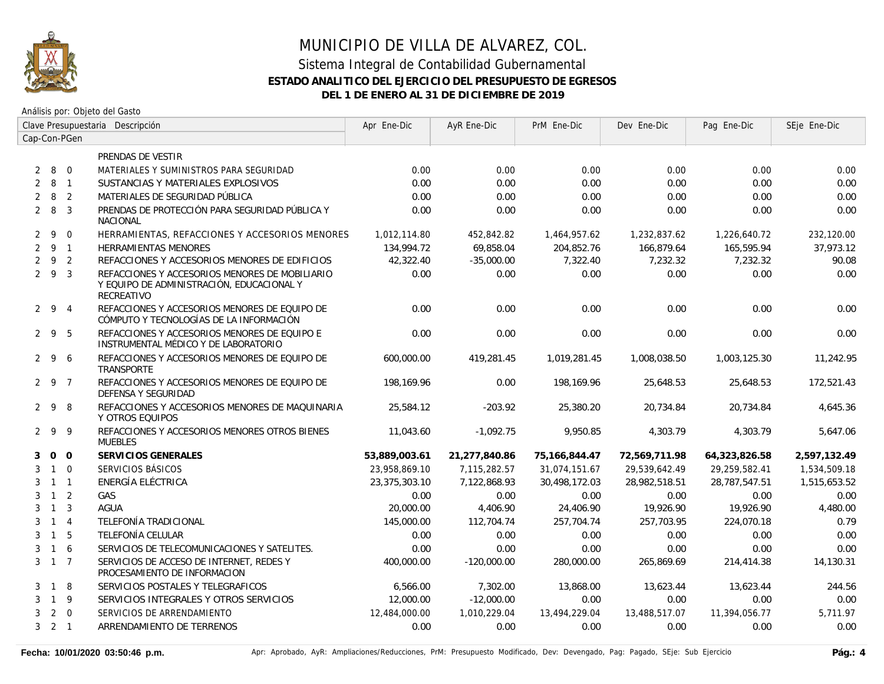

|                | Clave Presupuestaria Descripción |                |                                                                                                           | Apr Ene-Dic   | AyR Ene-Dic   | PrM Ene-Dic   | Dev Ene-Dic   | Pag Ene-Dic   | SEje Ene-Dic |
|----------------|----------------------------------|----------------|-----------------------------------------------------------------------------------------------------------|---------------|---------------|---------------|---------------|---------------|--------------|
|                |                                  | Cap-Con-PGen   |                                                                                                           |               |               |               |               |               |              |
|                |                                  |                | PRENDAS DE VESTIR                                                                                         |               |               |               |               |               |              |
| 2              |                                  | 8 0            | MATERIALES Y SUMINISTROS PARA SEGURIDAD                                                                   | 0.00          | 0.00          | 0.00          | 0.00          | 0.00          | 0.00         |
| 2              | 8 1                              |                | SUSTANCIAS Y MATERIALES EXPLOSIVOS                                                                        | 0.00          | 0.00          | 0.00          | 0.00          | 0.00          | 0.00         |
| $\overline{2}$ | 8                                | $\overline{2}$ | MATERIALES DE SEGURIDAD PÚBLICA                                                                           | 0.00          | 0.00          | 0.00          | 0.00          | 0.00          | 0.00         |
|                | $2 \quad 8$                      | $\overline{3}$ | PRENDAS DE PROTECCIÓN PARA SEGURIDAD PÚBLICA Y<br><b>NACIONAL</b>                                         | 0.00          | 0.00          | 0.00          | 0.00          | 0.00          | 0.00         |
|                | $2 \quad 9$                      | $\mathbf 0$    | HERRAMIENTAS, REFACCIONES Y ACCESORIOS MENORES                                                            | 1,012,114.80  | 452,842.82    | 1,464,957.62  | 1,232,837.62  | 1,226,640.72  | 232,120.00   |
|                | $2 \quad 9 \quad 1$              |                | HERRAMIENTAS MENORES                                                                                      | 134,994.72    | 69,858.04     | 204,852.76    | 166,879.64    | 165,595.94    | 37,973.12    |
| $\overline{2}$ | 9 <sub>2</sub>                   |                | REFACCIONES Y ACCESORIOS MENORES DE EDIFICIOS                                                             | 42,322.40     | $-35,000.00$  | 7,322.40      | 7,232.32      | 7,232.32      | 90.08        |
|                | 293                              |                | REFACCIONES Y ACCESORIOS MENORES DE MOBILIARIO<br>Y EQUIPO DE ADMINISTRACIÓN, EDUCACIONAL Y<br>RECREATIVO | 0.00          | 0.00          | 0.00          | 0.00          | 0.00          | 0.00         |
|                | 294                              |                | REFACCIONES Y ACCESORIOS MENORES DE EQUIPO DE<br>CÓMPUTO Y TECNOLOGÍAS DE LA INFORMACIÓN                  | 0.00          | 0.00          | 0.00          | 0.00          | 0.00          | 0.00         |
|                | 295                              |                | REFACCIONES Y ACCESORIOS MENORES DE EQUIPO E<br>INSTRUMENTAL MÉDICO Y DE LABORATORIO                      | 0.00          | 0.00          | 0.00          | 0.00          | 0.00          | 0.00         |
|                | 296                              |                | REFACCIONES Y ACCESORIOS MENORES DE EQUIPO DE<br>TRANSPORTE                                               | 600,000.00    | 419,281.45    | 1,019,281.45  | 1,008,038.50  | 1,003,125.30  | 11,242.95    |
|                | 2 9 7                            |                | REFACCIONES Y ACCESORIOS MENORES DE EQUIPO DE<br>DEFENSA Y SEGURIDAD                                      | 198,169.96    | 0.00          | 198,169.96    | 25,648.53     | 25,648.53     | 172,521.43   |
|                | 298                              |                | REFACCIONES Y ACCESORIOS MENORES DE MAQUINARIA<br>Y OTROS EQUIPOS                                         | 25,584.12     | $-203.92$     | 25,380.20     | 20,734.84     | 20,734.84     | 4,645.36     |
|                | 299                              |                | REFACCIONES Y ACCESORIOS MENORES OTROS BIENES<br><b>MUEBLES</b>                                           | 11,043.60     | $-1,092.75$   | 9,950.85      | 4,303.79      | 4,303.79      | 5,647.06     |
| 3              | $0\quad 0$                       |                | SERVICIOS GENERALES                                                                                       | 53,889,003.61 | 21,277,840.86 | 75,166,844.47 | 72,569,711.98 | 64,323,826.58 | 2,597,132.49 |
| 3              | $1\quad 0$                       |                | SERVICIOS BÁSICOS                                                                                         | 23,958,869.10 | 7,115,282.57  | 31,074,151.67 | 29,539,642.49 | 29,259,582.41 | 1,534,509.18 |
| 3              | $1 \quad 1$                      |                | ENERGÍA ELÉCTRICA                                                                                         | 23,375,303.10 | 7,122,868.93  | 30,498,172.03 | 28,982,518.51 | 28,787,547.51 | 1,515,653.52 |
| 3              | $1\quad 2$                       |                | GAS                                                                                                       | 0.00          | 0.00          | 0.00          | 0.00          | 0.00          | 0.00         |
| 3              | $\overline{1}$                   | $\overline{3}$ | <b>AGUA</b>                                                                                               | 20,000.00     | 4,406.90      | 24,406.90     | 19,926.90     | 19,926.90     | 4,480.00     |
| 3              | $1 \quad 4$                      |                | TELEFONÍA TRADICIONAL                                                                                     | 145,000.00    | 112,704.74    | 257,704.74    | 257,703.95    | 224,070.18    | 0.79         |
| 3              | $\overline{1}$                   | 5              | TELEFONÍA CELULAR                                                                                         | 0.00          | 0.00          | 0.00          | 0.00          | 0.00          | 0.00         |
| 3              | $1\quad6$                        |                | SERVICIOS DE TELECOMUNICACIONES Y SATELITES.                                                              | 0.00          | 0.00          | 0.00          | 0.00          | 0.00          | 0.00         |
|                | $3 \quad 1 \quad 7$              |                | SERVICIOS DE ACCESO DE INTERNET, REDES Y<br>PROCESAMIENTO DE INFORMACION                                  | 400,000.00    | $-120,000.00$ | 280,000.00    | 265,869.69    | 214,414.38    | 14,130.31    |
| 3              | 1 8                              |                | SERVICIOS POSTALES Y TELEGRAFICOS                                                                         | 6,566.00      | 7,302.00      | 13,868.00     | 13,623.44     | 13,623.44     | 244.56       |
| 3              | $1 \quad 9$                      |                | SERVICIOS INTEGRALES Y OTROS SERVICIOS                                                                    | 12,000.00     | $-12,000.00$  | 0.00          | 0.00          | 0.00          | 0.00         |
| 3              |                                  | $2 \quad 0$    | SERVICIOS DE ARRENDAMIENTO                                                                                | 12,484,000.00 | 1,010,229.04  | 13,494,229.04 | 13,488,517.07 | 11,394,056.77 | 5,711.97     |
|                | $3 \quad 2 \quad 1$              |                | ARRENDAMIENTO DE TERRENOS                                                                                 | 0.00          | 0.00          | 0.00          | 0.00          | 0.00          | 0.00         |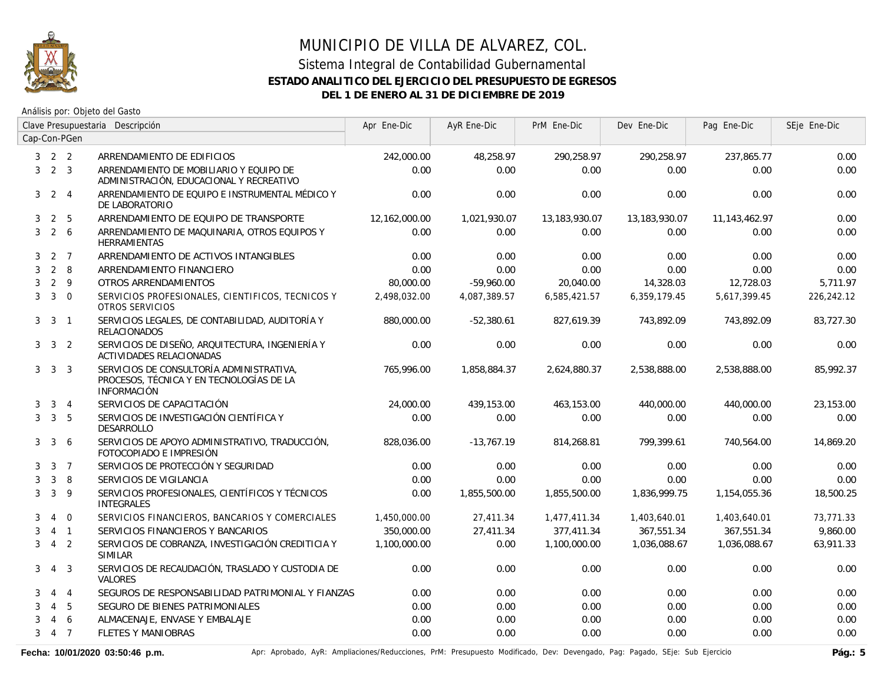

Análisis por: Objeto del Gasto

|                |                | Clave Presupuestaria Descripción |                                                                                                            | Apr Ene-Dic   | AyR Ene-Dic  | PrM Ene-Dic   | Dev Ene-Dic   | Pag Ene-Dic   | SEje Ene-Dic |
|----------------|----------------|----------------------------------|------------------------------------------------------------------------------------------------------------|---------------|--------------|---------------|---------------|---------------|--------------|
|                |                | Cap-Con-PGen                     |                                                                                                            |               |              |               |               |               |              |
| 3              | 2 <sub>2</sub> |                                  | ARRENDAMIENTO DE EDIFICIOS                                                                                 | 242,000.00    | 48,258.97    | 290,258.97    | 290,258.97    | 237,865.77    | 0.00         |
| 3              | $2 \quad 3$    |                                  | ARRENDAMIENTO DE MOBILIARIO Y EQUIPO DE<br>ADMINISTRACIÓN, EDUCACIONAL Y RECREATIVO                        | 0.00          | 0.00         | 0.00          | 0.00          | 0.00          | 0.00         |
| 3              |                | $2 \quad 4$                      | ARRENDAMIENTO DE EQUIPO E INSTRUMENTAL MÉDICO Y<br>DE LABORATORIO                                          | 0.00          | 0.00         | 0.00          | 0.00          | 0.00          | 0.00         |
| 3              | $\overline{2}$ | 5                                | ARRENDAMIENTO DE EQUIPO DE TRANSPORTE                                                                      | 12,162,000.00 | 1,021,930.07 | 13,183,930.07 | 13,183,930.07 | 11,143,462.97 | 0.00         |
| 3              | $\overline{2}$ | 6                                | ARRENDAMIENTO DE MAQUINARIA, OTROS EQUIPOS Y<br><b>HERRAMIENTAS</b>                                        | 0.00          | 0.00         | 0.00          | 0.00          | 0.00          | 0.00         |
| 3              | 2 7            |                                  | ARRENDAMIENTO DE ACTIVOS INTANGIBLES                                                                       | 0.00          | 0.00         | 0.00          | 0.00          | 0.00          | 0.00         |
| 3              | 2              | 8                                | ARRENDAMIENTO FINANCIERO                                                                                   | 0.00          | 0.00         | 0.00          | 0.00          | 0.00          | 0.00         |
| 3              | 2              | 9                                | OTROS ARRENDAMIENTOS                                                                                       | 80,000.00     | $-59.960.00$ | 20,040.00     | 14,328.03     | 12,728.03     | 5.711.97     |
| 3              | $\overline{3}$ | $\Omega$                         | SERVICIOS PROFESIONALES, CIENTIFICOS, TECNICOS Y<br>OTROS SERVICIOS                                        | 2.498.032.00  | 4.087.389.57 | 6,585,421.57  | 6,359,179.45  | 5,617,399.45  | 226,242.12   |
| 3 <sup>1</sup> | $\mathbf{3}$   | $\overline{1}$                   | SERVICIOS LEGALES, DE CONTABILIDAD, AUDITORÍA Y<br><b>RELACIONADOS</b>                                     | 880,000.00    | $-52,380.61$ | 827,619.39    | 743,892.09    | 743,892.09    | 83,727.30    |
| 3              | 3 2            |                                  | SERVICIOS DE DISEÑO, ARQUITECTURA, INGENIERÍA Y<br>ACTIVIDADES RELACIONADAS                                | 0.00          | 0.00         | 0.00          | 0.00          | 0.00          | 0.00         |
| 3              | 3 3            |                                  | SERVICIOS DE CONSULTORÍA ADMINISTRATIVA,<br>PROCESOS, TÉCNICA Y EN TECNOLOGÍAS DE LA<br><b>INFORMACIÓN</b> | 765,996.00    | 1,858,884.37 | 2,624,880.37  | 2,538,888.00  | 2,538,888.00  | 85,992.37    |
| 3              |                | $3 \quad 4$                      | SERVICIOS DE CAPACITACIÓN                                                                                  | 24,000.00     | 439,153.00   | 463,153.00    | 440,000.00    | 440,000.00    | 23,153.00    |
| 3              |                | 3 <sub>5</sub>                   | SERVICIOS DE INVESTIGACIÓN CIENTÍFICA Y<br>DESARROLLO                                                      | 0.00          | 0.00         | 0.00          | 0.00          | 0.00          | 0.00         |
| 3              | $\mathbf{3}$   | 6                                | SERVICIOS DE APOYO ADMINISTRATIVO, TRADUCCIÓN,<br>FOTOCOPIADO E IMPRESIÓN                                  | 828,036.00    | $-13,767.19$ | 814,268.81    | 799,399.61    | 740,564.00    | 14,869.20    |
| 3              |                | $3 \overline{7}$                 | SERVICIOS DE PROTECCIÓN Y SEGURIDAD                                                                        | 0.00          | 0.00         | 0.00          | 0.00          | 0.00          | 0.00         |
| 3              | 3              | 8                                | SERVICIOS DE VIGILANCIA                                                                                    | 0.00          | 0.00         | 0.00          | 0.00          | 0.00          | 0.00         |
| 3              | 3              | 9                                | SERVICIOS PROFESIONALES, CIENTÍFICOS Y TÉCNICOS<br><b>INTEGRALES</b>                                       | 0.00          | 1,855,500.00 | 1,855,500.00  | 1,836,999.75  | 1,154,055.36  | 18,500.25    |
| 3              | 4              | $\overline{0}$                   | SERVICIOS FINANCIEROS, BANCARIOS Y COMERCIALES                                                             | 1,450,000.00  | 27,411.34    | 1,477,411.34  | 1,403,640.01  | 1,403,640.01  | 73,771.33    |
| 3              |                | $4 \quad 1$                      | SERVICIOS FINANCIEROS Y BANCARIOS                                                                          | 350,000.00    | 27,411.34    | 377,411.34    | 367,551.34    | 367,551.34    | 9,860.00     |
| 3              | $\overline{4}$ | 2                                | SERVICIOS DE COBRANZA, INVESTIGACIÓN CREDITICIA Y<br><b>SIMILAR</b>                                        | 1,100,000.00  | 0.00         | 1,100,000.00  | 1,036,088.67  | 1,036,088.67  | 63,911.33    |
| 3              | 4              | 3                                | SERVICIOS DE RECAUDACIÓN, TRASLADO Y CUSTODIA DE<br>VALORES                                                | 0.00          | 0.00         | 0.00          | 0.00          | 0.00          | 0.00         |
| 3              | $\overline{4}$ | $\overline{4}$                   | SEGUROS DE RESPONSABILIDAD PATRIMONIAL Y FIANZAS                                                           | 0.00          | 0.00         | 0.00          | 0.00          | 0.00          | 0.00         |
| 3              | 4              | 5                                | SEGURO DE BIENES PATRIMONIALES                                                                             | 0.00          | 0.00         | 0.00          | 0.00          | 0.00          | 0.00         |
| 3              | 4              | 6                                | ALMACENAJE, ENVASE Y EMBALAJE                                                                              | 0.00          | 0.00         | 0.00          | 0.00          | 0.00          | 0.00         |
| 3              | 4 7            |                                  | <b>FLETES Y MANIOBRAS</b>                                                                                  | 0.00          | 0.00         | 0.00          | 0.00          | 0.00          | 0.00         |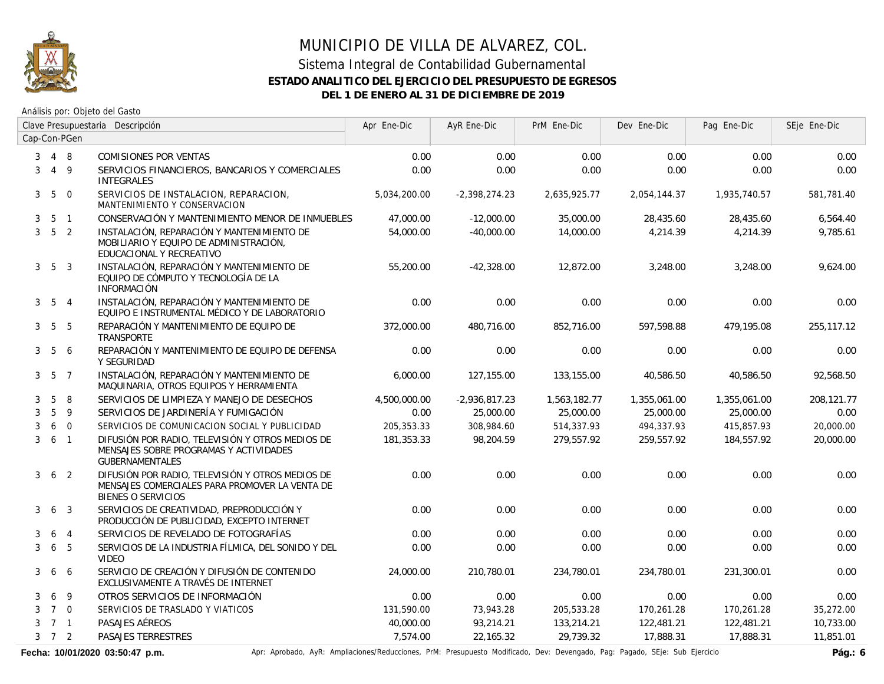

Análisis por: Objeto del Gasto

|                |                     | Clave Presupuestaria Descripción |                                                                                                                                 | Apr Ene-Dic  | AyR Ene-Dic     | PrM Ene-Dic  | Dev Ene-Dic  | Pag Ene-Dic  | SEje Ene-Dic |
|----------------|---------------------|----------------------------------|---------------------------------------------------------------------------------------------------------------------------------|--------------|-----------------|--------------|--------------|--------------|--------------|
|                |                     | Cap-Con-PGen                     |                                                                                                                                 |              |                 |              |              |              |              |
| 3              | 4 8                 |                                  | <b>COMISIONES POR VENTAS</b>                                                                                                    | 0.00         | 0.00            | 0.00         | 0.00         | 0.00         | 0.00         |
| 3              |                     | $4\overline{9}$                  | SERVICIOS FINANCIEROS, BANCARIOS Y COMERCIALES<br><b>INTEGRALES</b>                                                             | 0.00         | 0.00            | 0.00         | 0.00         | 0.00         | 0.00         |
| 3 <sup>1</sup> |                     | 5 0                              | SERVICIOS DE INSTALACION, REPARACION,<br>MANTENIMIENTO Y CONSERVACION                                                           | 5,034,200.00 | $-2,398,274.23$ | 2,635,925.77 | 2,054,144.37 | 1,935,740.57 | 581,781.40   |
| 3              | 5                   | $\overline{1}$                   | CONSERVACIÓN Y MANTENIMIENTO MENOR DE INMUEBLES                                                                                 | 47,000.00    | $-12,000.00$    | 35,000.00    | 28,435.60    | 28,435.60    | 6,564.40     |
| $\mathbf{3}$   | 5 <sub>2</sub>      |                                  | INSTALACIÓN, REPARACIÓN Y MANTENIMIENTO DE<br>MOBILIARIO Y EQUIPO DE ADMINISTRACIÓN,<br>EDUCACIONAL Y RECREATIVO                | 54,000.00    | $-40.000.00$    | 14,000.00    | 4,214.39     | 4,214.39     | 9,785.61     |
|                | $3\quad 5\quad 3$   |                                  | INSTALACIÓN, REPARACIÓN Y MANTENIMIENTO DE<br>EQUIPO DE CÓMPUTO Y TECNOLOGÍA DE LA<br><b>INFORMACIÓN</b>                        | 55,200.00    | $-42,328.00$    | 12,872.00    | 3,248.00     | 3,248.00     | 9,624.00     |
|                | $3\quad 5\quad 4$   |                                  | INSTALACIÓN, REPARACIÓN Y MANTENIMIENTO DE<br>EQUIPO E INSTRUMENTAL MÉDICO Y DE LABORATORIO                                     | 0.00         | 0.00            | 0.00         | 0.00         | 0.00         | 0.00         |
|                | $3\quad 5\quad 5$   |                                  | REPARACIÓN Y MANTENIMIENTO DE EQUIPO DE<br>TRANSPORTE                                                                           | 372,000.00   | 480.716.00      | 852,716.00   | 597.598.88   | 479.195.08   | 255,117.12   |
|                | $3\quad 5\quad 6$   |                                  | REPARACIÓN Y MANTENIMIENTO DE EQUIPO DE DEFENSA<br>Y SEGURIDAD                                                                  | 0.00         | 0.00            | 0.00         | 0.00         | 0.00         | 0.00         |
|                | $3\quad 5\quad 7$   |                                  | INSTALACIÓN, REPARACIÓN Y MANTENIMIENTO DE<br>MAQUINARIA, OTROS EQUIPOS Y HERRAMIENTA                                           | 6,000.00     | 127,155.00      | 133,155.00   | 40,586.50    | 40,586.50    | 92,568.50    |
| 3              | 5                   | 8                                | SERVICIOS DE LIMPIEZA Y MANEJO DE DESECHOS                                                                                      | 4,500,000.00 | $-2,936,817.23$ | 1,563,182.77 | 1,355,061.00 | 1,355,061.00 | 208,121.77   |
| 3              | $5\phantom{.}$      | 9                                | SERVICIOS DE JARDINERÍA Y FUMIGACIÓN                                                                                            | 0.00         | 25,000.00       | 25,000.00    | 25,000.00    | 25,000.00    | 0.00         |
| 3              |                     | 6 0                              | SERVICIOS DE COMUNICACION SOCIAL Y PUBLICIDAD                                                                                   | 205,353.33   | 308,984.60      | 514,337.93   | 494,337.93   | 415,857.93   | 20,000.00    |
| 3              |                     | 6 <sub>1</sub>                   | DIFUSIÓN POR RADIO, TELEVISIÓN Y OTROS MEDIOS DE<br>MENSAJES SOBRE PROGRAMAS Y ACTIVIDADES<br><b>GUBERNAMENTALES</b>            | 181,353.33   | 98,204.59       | 279,557.92   | 259,557.92   | 184,557.92   | 20,000.00    |
| 3              |                     | 6 <sub>2</sub>                   | DIFUSIÓN POR RADIO, TELEVISIÓN Y OTROS MEDIOS DE<br>MENSAJES COMERCIALES PARA PROMOVER LA VENTA DE<br><b>BIENES O SERVICIOS</b> | 0.00         | 0.00            | 0.00         | 0.00         | 0.00         | 0.00         |
| 3              |                     | 6 <sub>3</sub>                   | SERVICIOS DE CREATIVIDAD, PREPRODUCCIÓN Y<br>PRODUCCIÓN DE PUBLICIDAD, EXCEPTO INTERNET                                         | 0.00         | 0.00            | 0.00         | 0.00         | 0.00         | 0.00         |
| 3              | 6                   | $\overline{4}$                   | SERVICIOS DE REVELADO DE FOTOGRAFÍAS                                                                                            | 0.00         | 0.00            | 0.00         | 0.00         | 0.00         | 0.00         |
| 3              | 6                   | $5\overline{5}$                  | SERVICIOS DE LA INDUSTRIA FÍLMICA, DEL SONIDO Y DEL<br><b>VIDEO</b>                                                             | 0.00         | 0.00            | 0.00         | 0.00         | 0.00         | 0.00         |
| 3              |                     | 6 6                              | SERVICIO DE CREACIÓN Y DIFUSIÓN DE CONTENIDO<br>EXCLUSIVAMENTE A TRAVÉS DE INTERNET                                             | 24,000.00    | 210,780.01      | 234,780.01   | 234,780.01   | 231,300.01   | 0.00         |
| 3              | 6                   | 9                                | OTROS SERVICIOS DE INFORMACIÓN                                                                                                  | 0.00         | 0.00            | 0.00         | 0.00         | 0.00         | 0.00         |
| 3              | $7\quad 0$          |                                  | SERVICIOS DE TRASLADO Y VIATICOS                                                                                                | 131,590.00   | 73,943.28       | 205,533.28   | 170,261.28   | 170,261.28   | 35,272.00    |
| 3              | 7 <sub>1</sub>      |                                  | PASAJES AÉREOS                                                                                                                  | 40,000.00    | 93,214.21       | 133,214.21   | 122,481.21   | 122,481.21   | 10,733.00    |
|                | $3 \quad 7 \quad 2$ |                                  | PASAJES TERRESTRES                                                                                                              | 7,574.00     | 22,165.32       | 29,739.32    | 17,888.31    | 17,888.31    | 11,851.01    |

Fecha: 10/01/2020 03:50:47 p.m. **Aprical Aprical Agelia**, AyR: Ampliaciones/Reducciones, PrM: Presupuesto Modificado, Dev: Devengado, Pag: Pagado, SEje: Sub Ejercicio **Pág.: 6**<br>Pág.: 6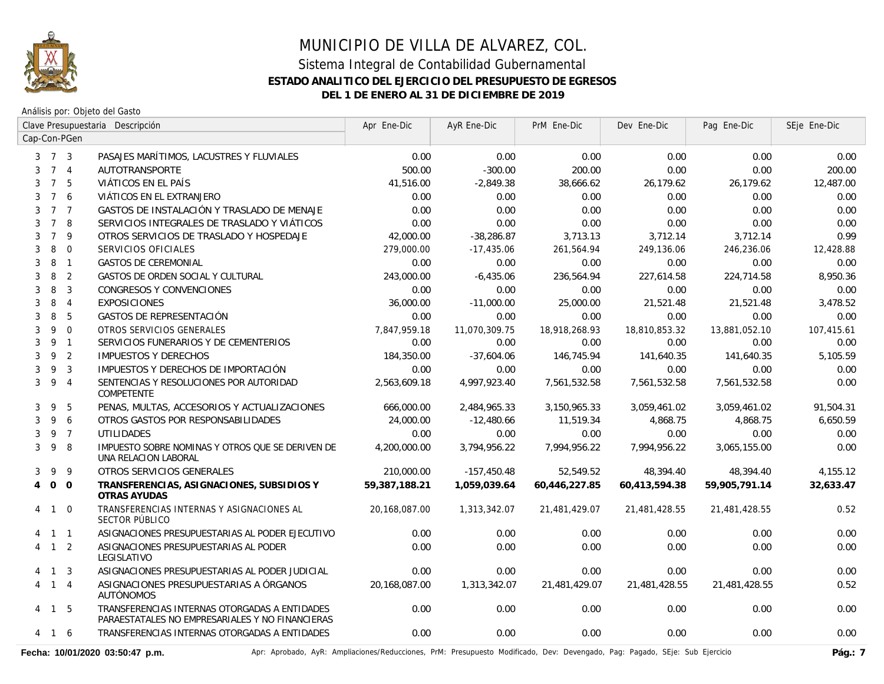

Análisis por: Objeto del Gasto

|                                  | Clave Presupuestaria Descripción |                |                                                                                                  | Apr Ene-Dic   | AyR Ene-Dic   | PrM Ene-Dic   | Dev Ene-Dic   | Pag Ene-Dic   | SEje Ene-Dic |
|----------------------------------|----------------------------------|----------------|--------------------------------------------------------------------------------------------------|---------------|---------------|---------------|---------------|---------------|--------------|
| Cap-Con-PGen                     |                                  |                |                                                                                                  |               |               |               |               |               |              |
| $3 \quad 7 \quad 3$              |                                  |                | PASAJES MARÍTIMOS, LACUSTRES Y FLUVIALES                                                         | 0.00          | 0.00          | 0.00          | 0.00          | 0.00          | 0.00         |
| 3                                | 7 <sub>4</sub>                   |                | AUTOTRANSPORTE                                                                                   | 500.00        | $-300.00$     | 200.00        | 0.00          | 0.00          | 200.00       |
| 3                                | $7^{\circ}$                      | 5              | VIÁTICOS EN EL PAÍS                                                                              | 41,516.00     | $-2,849.38$   | 38,666.62     | 26,179.62     | 26,179.62     | 12,487.00    |
| 3                                | $7^{\circ}$                      | 6              | VIÁTICOS EN EL EXTRANJERO                                                                        | 0.00          | 0.00          | 0.00          | 0.00          | 0.00          | 0.00         |
| 3                                | $7^{\circ}$                      | $\overline{7}$ | GASTOS DE INSTALACIÓN Y TRASLADO DE MENAJE                                                       | 0.00          | 0.00          | 0.00          | 0.00          | 0.00          | 0.00         |
| 3                                | $\overline{7}$                   | 8              | SERVICIOS INTEGRALES DE TRASLADO Y VIÁTICOS                                                      | 0.00          | 0.00          | 0.00          | 0.00          | 0.00          | 0.00         |
| $\overline{7}$<br>3              |                                  | 9              | OTROS SERVICIOS DE TRASLADO Y HOSPEDAJE                                                          | 42,000.00     | $-38,286.87$  | 3,713.13      | 3,712.14      | 3,712.14      | 0.99         |
| 8<br>3                           |                                  | $\mathbf{0}$   | SERVICIOS OFICIALES                                                                              | 279,000.00    | $-17,435.06$  | 261,564.94    | 249,136.06    | 246,236.06    | 12,428.88    |
| 8<br>3                           |                                  | $\overline{1}$ | <b>GASTOS DE CEREMONIAL</b>                                                                      | 0.00          | 0.00          | 0.00          | 0.00          | 0.00          | 0.00         |
| 8<br>3                           |                                  | $\overline{2}$ | GASTOS DE ORDEN SOCIAL Y CULTURAL                                                                | 243,000.00    | $-6,435.06$   | 236,564.94    | 227,614.58    | 224,714.58    | 8,950.36     |
| 8<br>3                           |                                  | $\overline{3}$ | CONGRESOS Y CONVENCIONES                                                                         | 0.00          | 0.00          | 0.00          | 0.00          | 0.00          | 0.00         |
| 8<br>3                           |                                  | $\overline{4}$ | <b>EXPOSICIONES</b>                                                                              | 36,000.00     | $-11,000.00$  | 25,000.00     | 21.521.48     | 21,521.48     | 3.478.52     |
| 8<br>3                           |                                  | 5              | GASTOS DE REPRESENTACIÓN                                                                         | 0.00          | 0.00          | 0.00          | 0.00          | 0.00          | 0.00         |
| 3                                | 9                                | $\overline{0}$ | OTROS SERVICIOS GENERALES                                                                        | 7,847,959.18  | 11,070,309.75 | 18,918,268.93 | 18,810,853.32 | 13,881,052.10 | 107,415.61   |
| 3                                | 9 <sub>1</sub>                   |                | SERVICIOS FUNERARIOS Y DE CEMENTERIOS                                                            | 0.00          | 0.00          | 0.00          | 0.00          | 0.00          | 0.00         |
| 3                                | 9                                | $\overline{2}$ | <b>IMPUESTOS Y DERECHOS</b>                                                                      | 184,350.00    | $-37,604.06$  | 146,745.94    | 141,640.35    | 141,640.35    | 5,105.59     |
| 9<br>3                           |                                  | $\overline{3}$ | IMPUESTOS Y DERECHOS DE IMPORTACIÓN                                                              | 0.00          | 0.00          | 0.00          | 0.00          | 0.00          | 0.00         |
| 3                                | 9                                | $\overline{4}$ | SENTENCIAS Y RESOLUCIONES POR AUTORIDAD<br><b>COMPETENTE</b>                                     | 2,563,609.18  | 4,997,923.40  | 7,561,532.58  | 7,561,532.58  | 7,561,532.58  | 0.00         |
| 3                                | 9                                | 5              | PENAS, MULTAS, ACCESORIOS Y ACTUALIZACIONES                                                      | 666,000.00    | 2,484,965.33  | 3,150,965.33  | 3,059,461.02  | 3,059,461.02  | 91,504.31    |
| 3                                | 9                                | 6              | OTROS GASTOS POR RESPONSABILIDADES                                                               | 24,000.00     | $-12,480.66$  | 11,519.34     | 4,868.75      | 4,868.75      | 6,650.59     |
| 3                                | 9 7                              |                | <b>UTILIDADES</b>                                                                                | 0.00          | 0.00          | 0.00          | 0.00          | 0.00          | 0.00         |
| 3                                | 9                                | 8              | IMPUESTO SOBRE NOMINAS Y OTROS QUE SE DERIVEN DE<br>UNA RELACION LABORAL                         | 4,200,000.00  | 3,794,956.22  | 7,994,956.22  | 7,994,956.22  | 3,065,155.00  | 0.00         |
| 9<br>3                           |                                  | 9              | OTROS SERVICIOS GENERALES                                                                        | 210,000.00    | $-157,450.48$ | 52,549.52     | 48,394.40     | 48,394.40     | 4,155.12     |
| $\overline{O}$<br>$\overline{4}$ |                                  | $\overline{0}$ | TRANSFERENCIAS, ASIGNACIONES, SUBSIDIOS Y<br>OTRAS AYUDAS                                        | 59,387,188.21 | 1,059,039.64  | 60,446,227.85 | 60,413,594.38 | 59,905,791.14 | 32,633.47    |
| 4                                | $\mathbf{1}$                     | $\Omega$       | TRANSFERENCIAS INTERNAS Y ASIGNACIONES AL<br>SECTOR PÚBLICO                                      | 20,168,087.00 | 1,313,342.07  | 21,481,429.07 | 21,481,428.55 | 21,481,428.55 | 0.52         |
| $1\quad1$                        |                                  |                | ASIGNACIONES PRESUPUESTARIAS AL PODER EJECUTIVO                                                  | 0.00          | 0.00          | 0.00          | 0.00          | 0.00          | 0.00         |
| 4 1 2                            |                                  |                | ASIGNACIONES PRESUPUESTARIAS AL PODER<br>LEGISLATIVO                                             | 0.00          | 0.00          | 0.00          | 0.00          | 0.00          | 0.00         |
|                                  | $\overline{1}$                   | $\overline{3}$ | ASIGNACIONES PRESUPUESTARIAS AL PODER JUDICIAL                                                   | 0.00          | 0.00          | 0.00          | 0.00          | 0.00          | 0.00         |
| 4                                | $1 \quad 4$                      |                | ASIGNACIONES PRESUPUESTARIAS A ÓRGANOS<br><b>AUTÓNOMOS</b>                                       | 20,168,087.00 | 1,313,342.07  | 21,481,429.07 | 21,481,428.55 | 21,481,428.55 | 0.52         |
| 4 1 5                            |                                  |                | TRANSFERENCIAS INTERNAS OTORGADAS A ENTIDADES<br>PARAESTATALES NO EMPRESARIALES Y NO FINANCIERAS | 0.00          | 0.00          | 0.00          | 0.00          | 0.00          | 0.00         |
| 4                                | $\mathbf{1}$                     | - 6            | TRANSFERENCIAS INTERNAS OTORGADAS A ENTIDADES                                                    | 0.00          | 0.00          | 0.00          | 0.00          | 0.00          | 0.00         |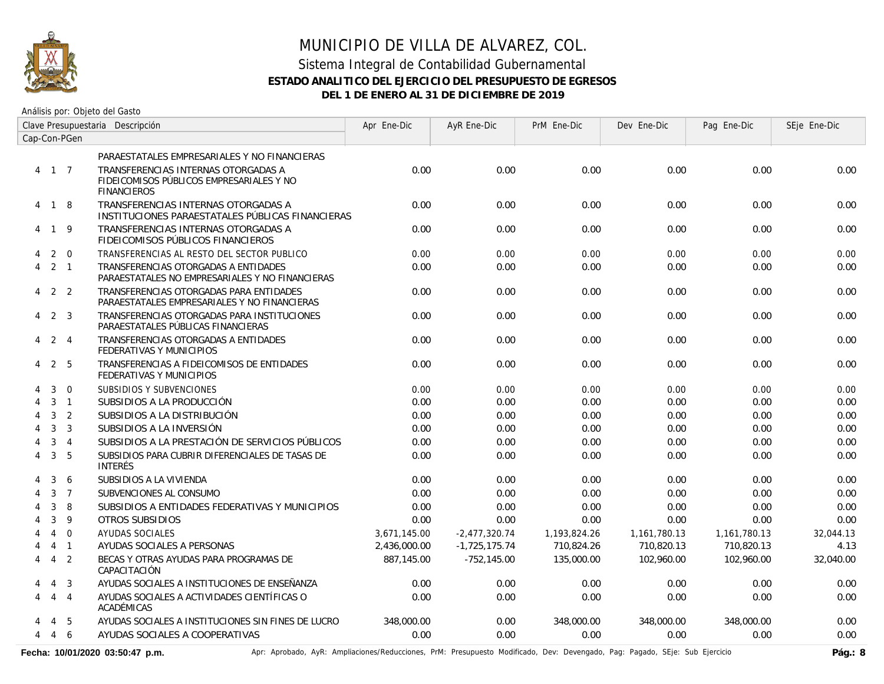

Análisis por: Objeto del Gasto

|                             | Clave Presupuestaria Descripción |                |                                                                                                       | Apr Ene-Dic  | AyR Ene-Dic     | PrM Ene-Dic  | Dev Ene-Dic  | Pag Ene-Dic  | SEje Ene-Dic |
|-----------------------------|----------------------------------|----------------|-------------------------------------------------------------------------------------------------------|--------------|-----------------|--------------|--------------|--------------|--------------|
|                             |                                  | Cap-Con-PGen   |                                                                                                       |              |                 |              |              |              |              |
|                             |                                  |                | PARAESTATALES EMPRESARIALES Y NO FINANCIERAS                                                          |              |                 |              |              |              |              |
|                             | 4 1 7                            |                | TRANSFERENCIAS INTERNAS OTORGADAS A<br>FIDEICOMISOS PÚBLICOS EMPRESARIALES Y NO<br><b>FINANCIEROS</b> | 0.00         | 0.00            | 0.00         | 0.00         | 0.00         | 0.00         |
|                             | 4 1 8                            |                | TRANSFERENCIAS INTERNAS OTORGADAS A<br>INSTITUCIONES PARAESTATALES PÚBLICAS FINANCIERAS               | 0.00         | 0.00            | 0.00         | 0.00         | 0.00         | 0.00         |
|                             | 4 1 9                            |                | TRANSFERENCIAS INTERNAS OTORGADAS A<br>FIDEICOMISOS PÚBLICOS FINANCIEROS                              | 0.00         | 0.00            | 0.00         | 0.00         | 0.00         | 0.00         |
| 4                           | 2                                | $\overline{0}$ | TRANSFERENCIAS AL RESTO DEL SECTOR PUBLICO                                                            | 0.00         | 0.00            | 0.00         | 0.00         | 0.00         | 0.00         |
| 4                           |                                  | $2 \quad 1$    | TRANSFERENCIAS OTORGADAS A ENTIDADES<br>PARAESTATALES NO EMPRESARIALES Y NO FINANCIERAS               | 0.00         | 0.00            | 0.00         | 0.00         | 0.00         | 0.00         |
| $\overline{4}$              |                                  | 2 <sub>2</sub> | TRANSFERENCIAS OTORGADAS PARA ENTIDADES<br>PARAESTATALES EMPRESARIALES Y NO FINANCIERAS               | 0.00         | 0.00            | 0.00         | 0.00         | 0.00         | 0.00         |
| 4                           |                                  | 2 <sup>3</sup> | TRANSFERENCIAS OTORGADAS PARA INSTITUCIONES<br>PARAESTATALES PÚBLICAS FINANCIERAS                     | 0.00         | 0.00            | 0.00         | 0.00         | 0.00         | 0.00         |
| 4                           |                                  | 2 4            | TRANSFERENCIAS OTORGADAS A ENTIDADES<br>FEDERATIVAS Y MUNICIPIOS                                      | 0.00         | 0.00            | 0.00         | 0.00         | 0.00         | 0.00         |
| 4                           | 2                                | -5             | TRANSFERENCIAS A FIDEICOMISOS DE ENTIDADES<br>FEDERATIVAS Y MUNICIPIOS                                | 0.00         | 0.00            | 0.00         | 0.00         | 0.00         | 0.00         |
| 4                           | 3                                | $\overline{0}$ | SUBSIDIOS Y SUBVENCIONES                                                                              | 0.00         | 0.00            | 0.00         | 0.00         | 0.00         | 0.00         |
| $\boldsymbol{\vartriangle}$ | 3                                | $\overline{1}$ | SUBSIDIOS A LA PRODUCCIÓN                                                                             | 0.00         | 0.00            | 0.00         | 0.00         | 0.00         | 0.00         |
| 4                           | 3                                | $\overline{2}$ | SUBSIDIOS A LA DISTRIBUCIÓN                                                                           | 0.00         | 0.00            | 0.00         | 0.00         | 0.00         | 0.00         |
| 4                           | $\mathbf{3}$                     | $\overline{3}$ | SUBSIDIOS A LA INVERSIÓN                                                                              | 0.00         | 0.00            | 0.00         | 0.00         | 0.00         | 0.00         |
| 4                           | 3                                | $\overline{4}$ | SUBSIDIOS A LA PRESTACIÓN DE SERVICIOS PÚBLICOS                                                       | 0.00         | 0.00            | 0.00         | 0.00         | 0.00         | 0.00         |
| 4                           | 3                                | 5              | SUBSIDIOS PARA CUBRIR DIFERENCIALES DE TASAS DE<br><b>INTERÉS</b>                                     | 0.00         | 0.00            | 0.00         | 0.00         | 0.00         | 0.00         |
|                             | 3                                | 6              | SUBSIDIOS A LA VIVIENDA                                                                               | 0.00         | 0.00            | 0.00         | 0.00         | 0.00         | 0.00         |
|                             | 3                                | $\overline{7}$ | SUBVENCIONES AL CONSUMO                                                                               | 0.00         | 0.00            | 0.00         | 0.00         | 0.00         | 0.00         |
|                             | 3                                | 8              | SUBSIDIOS A ENTIDADES FEDERATIVAS Y MUNICIPIOS                                                        | 0.00         | 0.00            | 0.00         | 0.00         | 0.00         | 0.00         |
|                             | $\mathbf{3}$                     | 9              | OTROS SUBSIDIOS                                                                                       | 0.00         | 0.00            | 0.00         | 0.00         | 0.00         | 0.00         |
|                             | $\overline{4}$                   | $\overline{0}$ | <b>AYUDAS SOCIALES</b>                                                                                | 3,671,145.00 | $-2,477,320.74$ | 1,193,824.26 | 1,161,780.13 | 1,161,780.13 | 32,044.13    |
| 4                           | $\overline{4}$                   | $\overline{1}$ | AYUDAS SOCIALES A PERSONAS                                                                            | 2,436,000.00 | $-1,725,175.74$ | 710,824.26   | 710,820.13   | 710,820.13   | 4.13         |
| 4                           | $\overline{4}$                   | $\overline{2}$ | BECAS Y OTRAS AYUDAS PARA PROGRAMAS DE<br>CAPACITACIÓN                                                | 887,145.00   | $-752,145.00$   | 135,000.00   | 102,960.00   | 102,960.00   | 32,040.00    |
| 4                           | $\overline{4}$                   | $\overline{3}$ | AYUDAS SOCIALES A INSTITUCIONES DE ENSEÑANZA                                                          | 0.00         | 0.00            | 0.00         | 0.00         | 0.00         | 0.00         |
| 4                           | $\overline{4}$                   | $\overline{4}$ | AYUDAS SOCIALES A ACTIVIDADES CIENTÍFICAS O<br>ACADÉMICAS                                             | 0.00         | 0.00            | 0.00         | 0.00         | 0.00         | 0.00         |
|                             | 4                                | -5             | AYUDAS SOCIALES A INSTITUCIONES SIN FINES DE LUCRO                                                    | 348,000.00   | 0.00            | 348,000.00   | 348,000.00   | 348,000.00   | 0.00         |
| 4                           | 4                                | 6              | AYUDAS SOCIALES A COOPERATIVAS                                                                        | 0.00         | 0.00            | 0.00         | 0.00         | 0.00         | 0.00         |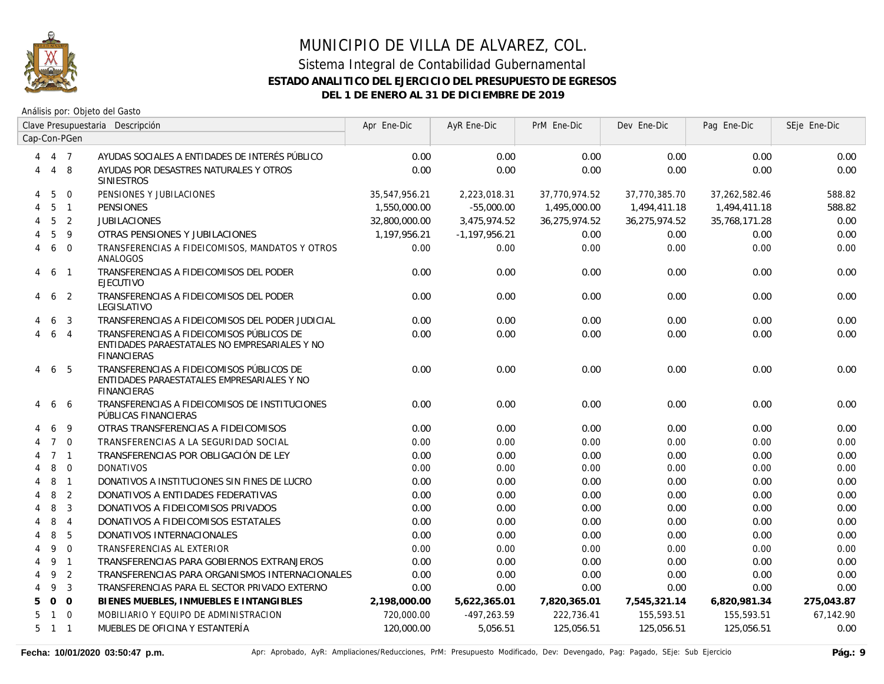

|    | Clave Presupuestaria Descripción |                |                                                                                                                  | Apr Ene-Dic   | AyR Ene-Dic     | PrM Ene-Dic   | Dev Ene-Dic   | Pag Ene-Dic   | SEje Ene-Dic |
|----|----------------------------------|----------------|------------------------------------------------------------------------------------------------------------------|---------------|-----------------|---------------|---------------|---------------|--------------|
|    |                                  | Cap-Con-PGen   |                                                                                                                  |               |                 |               |               |               |              |
| 4  | 4 7                              |                | AYUDAS SOCIALES A ENTIDADES DE INTERÉS PÚBLICO                                                                   | 0.00          | 0.00            | 0.00          | 0.00          | 0.00          | 0.00         |
| 4  |                                  | 4 8            | AYUDAS POR DESASTRES NATURALES Y OTROS<br><b>SINIESTROS</b>                                                      | 0.00          | 0.00            | 0.00          | 0.00          | 0.00          | 0.00         |
| 4  | 5                                | $\Omega$       | PENSIONES Y JUBILACIONES                                                                                         | 35,547,956.21 | 2,223,018.31    | 37,770,974.52 | 37,770,385.70 | 37,262,582.46 | 588.82       |
| 4  | 5                                | $\overline{1}$ | <b>PENSIONES</b>                                                                                                 | 1,550,000.00  | $-55.000.00$    | 1,495,000.00  | 1,494,411.18  | 1,494,411.18  | 588.82       |
| 4  | 5                                | $\overline{2}$ | <b>JUBILACIONES</b>                                                                                              | 32,800,000.00 | 3.475.974.52    | 36,275,974.52 | 36,275,974.52 | 35,768,171.28 | 0.00         |
|    | 5                                | 9              | OTRAS PENSIONES Y JUBILACIONES                                                                                   | 1,197,956.21  | $-1,197,956.21$ | 0.00          | 0.00          | 0.00          | 0.00         |
| 4  | 6                                | $\Omega$       | TRANSFERENCIAS A FIDEICOMISOS, MANDATOS Y OTROS<br>ANALOGOS                                                      | 0.00          | 0.00            | 0.00          | 0.00          | 0.00          | 0.00         |
| 4  | 6                                | $\overline{1}$ | TRANSFERENCIAS A FIDEICOMISOS DEL PODER<br><b>EJECUTIVO</b>                                                      | 0.00          | 0.00            | 0.00          | 0.00          | 0.00          | 0.00         |
| 4  | 6                                | -2             | TRANSFERENCIAS A FIDEICOMISOS DEL PODER<br>LEGISLATIVO                                                           | 0.00          | 0.00            | 0.00          | 0.00          | 0.00          | 0.00         |
|    | 6                                | 3              | TRANSFERENCIAS A FIDEICOMISOS DEL PODER JUDICIAL                                                                 | 0.00          | 0.00            | 0.00          | 0.00          | 0.00          | 0.00         |
| 4  | 6                                | $\overline{4}$ | TRANSFERENCIAS A FIDEICOMISOS PÚBLICOS DE<br>ENTIDADES PARAESTATALES NO EMPRESARIALES Y NO<br><b>FINANCIERAS</b> | 0.00          | 0.00            | 0.00          | 0.00          | 0.00          | 0.00         |
| 4  |                                  | 6 5            | TRANSFERENCIAS A FIDEICOMISOS PÚBLICOS DE<br>ENTIDADES PARAESTATALES EMPRESARIALES Y NO<br><b>FINANCIERAS</b>    | 0.00          | 0.00            | 0.00          | 0.00          | 0.00          | 0.00         |
| 4  | 6                                | -6             | TRANSFERENCIAS A FIDEICOMISOS DE INSTITUCIONES<br>PÚBLICAS FINANCIERAS                                           | 0.00          | 0.00            | 0.00          | 0.00          | 0.00          | 0.00         |
|    | 6                                | -9             | OTRAS TRANSFERENCIAS A FIDEICOMISOS                                                                              | 0.00          | 0.00            | 0.00          | 0.00          | 0.00          | 0.00         |
|    | $7^{\circ}$                      | $\Omega$       | TRANSFERENCIAS A LA SEGURIDAD SOCIAL                                                                             | 0.00          | 0.00            | 0.00          | 0.00          | 0.00          | 0.00         |
|    |                                  | 7 <sub>1</sub> | TRANSFERENCIAS POR OBLIGACIÓN DE LEY                                                                             | 0.00          | 0.00            | 0.00          | 0.00          | 0.00          | 0.00         |
|    | 8                                | $\overline{0}$ | <b>DONATIVOS</b>                                                                                                 | 0.00          | 0.00            | 0.00          | 0.00          | 0.00          | 0.00         |
|    | 8                                | $\overline{1}$ | DONATIVOS A INSTITUCIONES SIN FINES DE LUCRO                                                                     | 0.00          | 0.00            | 0.00          | 0.00          | 0.00          | 0.00         |
| 4  | 8                                | 2              | DONATIVOS A ENTIDADES FEDERATIVAS                                                                                | 0.00          | 0.00            | 0.00          | 0.00          | 0.00          | 0.00         |
| 4  | 8                                | $\overline{3}$ | DONATIVOS A FIDEICOMISOS PRIVADOS                                                                                | 0.00          | 0.00            | 0.00          | 0.00          | 0.00          | 0.00         |
| 4  | 8                                | $\overline{4}$ | DONATIVOS A FIDEICOMISOS ESTATALES                                                                               | 0.00          | 0.00            | 0.00          | 0.00          | 0.00          | 0.00         |
| 4  | 8                                | 5              | DONATIVOS INTERNACIONALES                                                                                        | 0.00          | 0.00            | 0.00          | 0.00          | 0.00          | 0.00         |
| 4  | 9                                | $\Omega$       | TRANSFERENCIAS AL EXTERIOR                                                                                       | 0.00          | 0.00            | 0.00          | 0.00          | 0.00          | 0.00         |
| 4  | 9                                | $\overline{1}$ | TRANSFERENCIAS PARA GOBIERNOS EXTRANJEROS                                                                        | 0.00          | 0.00            | 0.00          | 0.00          | 0.00          | 0.00         |
| 4  | 9                                | $\overline{2}$ | TRANSFERENCIAS PARA ORGANISMOS INTERNACIONALES                                                                   | 0.00          | 0.00            | 0.00          | 0.00          | 0.00          | 0.00         |
| 4  | 9                                | $\overline{3}$ | TRANSFERENCIAS PARA EL SECTOR PRIVADO EXTERNO                                                                    | 0.00          | 0.00            | 0.00          | 0.00          | 0.00          | 0.00         |
| 5. |                                  | $0\quad 0$     | BIENES MUEBLES, INMUEBLES E INTANGIBLES                                                                          | 2,198,000.00  | 5,622,365.01    | 7,820,365.01  | 7,545,321.14  | 6,820,981.34  | 275,043.87   |
| 5  | $\mathbf{1}$                     | $\overline{0}$ | MOBILIARIO Y EQUIPO DE ADMINISTRACION                                                                            | 720,000.00    | $-497,263.59$   | 222,736.41    | 155,593.51    | 155,593.51    | 67,142.90    |
| 5  | $1 \quad 1$                      |                | MUEBLES DE OFICINA Y ESTANTERÍA                                                                                  | 120,000.00    | 5,056.51        | 125,056.51    | 125,056.51    | 125,056.51    | 0.00         |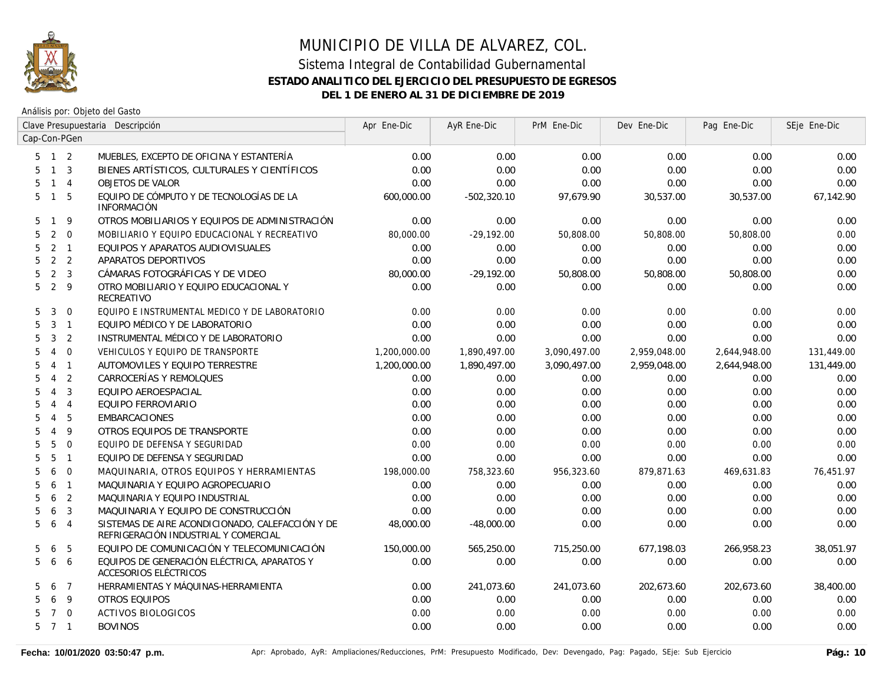

Análisis por: Objeto del Gasto

|                     | Clave Presupuestaria Descripción |                |                                                                                          | Apr Ene-Dic  | AyR Ene-Dic   | PrM Ene-Dic  | Dev Ene-Dic  | Pag Ene-Dic  | SEje Ene-Dic |
|---------------------|----------------------------------|----------------|------------------------------------------------------------------------------------------|--------------|---------------|--------------|--------------|--------------|--------------|
| Cap-Con-PGen        |                                  |                |                                                                                          |              |               |              |              |              |              |
| $5 \quad 1 \quad 2$ |                                  |                | MUEBLES, EXCEPTO DE OFICINA Y ESTANTERÍA                                                 | 0.00         | 0.00          | 0.00         | 0.00         | 0.00         | 0.00         |
| 5                   | $1 \quad 3$                      |                | BIENES ARTÍSTICOS, CULTURALES Y CIENTÍFICOS                                              | 0.00         | 0.00          | 0.00         | 0.00         | 0.00         | 0.00         |
| 5                   | $\mathbf{1}$                     | $\overline{4}$ | <b>OBJETOS DE VALOR</b>                                                                  | 0.00         | 0.00          | 0.00         | 0.00         | 0.00         | 0.00         |
| 5                   | $\mathbf{1}$                     | 5              | EQUIPO DE CÓMPUTO Y DE TECNOLOGÍAS DE LA<br><b>INFORMACIÓN</b>                           | 600,000.00   | $-502,320.10$ | 97,679.90    | 30,537.00    | 30,537.00    | 67,142.90    |
| 5<br>$\mathbf{1}$   |                                  | 9              | OTROS MOBILIARIOS Y EQUIPOS DE ADMINISTRACIÓN                                            | 0.00         | 0.00          | 0.00         | 0.00         | 0.00         | 0.00         |
| 5                   | 2                                | $\mathbf 0$    | MOBILIARIO Y EQUIPO EDUCACIONAL Y RECREATIVO                                             | 80,000.00    | $-29,192.00$  | 50,808.00    | 50,808.00    | 50,808.00    | 0.00         |
| 5                   | 2                                | $\overline{1}$ | EQUIPOS Y APARATOS AUDIOVISUALES                                                         | 0.00         | 0.00          | 0.00         | 0.00         | 0.00         | 0.00         |
| 5                   |                                  | 2 <sub>2</sub> | APARATOS DEPORTIVOS                                                                      | 0.00         | 0.00          | 0.00         | 0.00         | 0.00         | 0.00         |
| 5                   | 2                                | $\overline{3}$ | CÁMARAS FOTOGRÁFICAS Y DE VIDEO                                                          | 80,000.00    | $-29,192.00$  | 50,808.00    | 50,808.00    | 50,808.00    | 0.00         |
| 5                   | 2                                | 9              | OTRO MOBILIARIO Y EQUIPO EDUCACIONAL Y<br>RECREATIVO                                     | 0.00         | 0.00          | 0.00         | 0.00         | 0.00         | 0.00         |
| 5                   | 3                                | $\overline{0}$ | EQUIPO E INSTRUMENTAL MEDICO Y DE LABORATORIO                                            | 0.00         | 0.00          | 0.00         | 0.00         | 0.00         | 0.00         |
| 5                   | 3                                | $\overline{1}$ | EQUIPO MÉDICO Y DE LABORATORIO                                                           | 0.00         | 0.00          | 0.00         | 0.00         | 0.00         | 0.00         |
| 5                   | $\mathbf{3}$                     | 2              | INSTRUMENTAL MÉDICO Y DE LABORATORIO                                                     | 0.00         | 0.00          | 0.00         | 0.00         | 0.00         | 0.00         |
| 5<br>$\overline{4}$ |                                  | $\mathbf 0$    | VEHICULOS Y EQUIPO DE TRANSPORTE                                                         | 1,200,000.00 | 1,890,497.00  | 3,090,497.00 | 2,959,048.00 | 2,644,948.00 | 131,449.00   |
| 5<br>$\overline{4}$ |                                  | $\overline{1}$ | AUTOMOVILES Y EQUIPO TERRESTRE                                                           | 1,200,000.00 | 1,890,497.00  | 3,090,497.00 | 2,959,048.00 | 2,644,948.00 | 131,449.00   |
| 5<br>$\overline{4}$ |                                  | 2              | CARROCERÍAS Y REMOLQUES                                                                  | 0.00         | 0.00          | 0.00         | 0.00         | 0.00         | 0.00         |
| 5<br>$\overline{4}$ |                                  | 3              | EQUIPO AEROESPACIAL                                                                      | 0.00         | 0.00          | 0.00         | 0.00         | 0.00         | 0.00         |
| $\overline{4}$<br>5 |                                  | $\overline{4}$ | EQUIPO FERROVIARIO                                                                       | 0.00         | 0.00          | 0.00         | 0.00         | 0.00         | 0.00         |
| $\overline{4}$<br>5 |                                  | 5              | <b>EMBARCACIONES</b>                                                                     | 0.00         | 0.00          | 0.00         | 0.00         | 0.00         | 0.00         |
| $\overline{4}$<br>5 |                                  | 9              | OTROS EQUIPOS DE TRANSPORTE                                                              | 0.00         | 0.00          | 0.00         | 0.00         | 0.00         | 0.00         |
| 5                   | 5                                | $\Omega$       | EQUIPO DE DEFENSA Y SEGURIDAD                                                            | 0.00         | 0.00          | 0.00         | 0.00         | 0.00         | 0.00         |
| 5                   | 5                                | $\mathbf{1}$   | EQUIPO DE DEFENSA Y SEGURIDAD                                                            | 0.00         | 0.00          | 0.00         | 0.00         | 0.00         | 0.00         |
| 5                   | 6                                | $\overline{0}$ | MAQUINARIA, OTROS EQUIPOS Y HERRAMIENTAS                                                 | 198,000.00   | 758,323.60    | 956,323.60   | 879,871.63   | 469,631.83   | 76,451.97    |
| 5                   | 6                                | $\mathbf{1}$   | MAQUINARIA Y EQUIPO AGROPECUARIO                                                         | 0.00         | 0.00          | 0.00         | 0.00         | 0.00         | 0.00         |
| 5                   | 6                                | 2              | MAQUINARIA Y EQUIPO INDUSTRIAL                                                           | 0.00         | 0.00          | 0.00         | 0.00         | 0.00         | 0.00         |
| 5                   | 6                                | 3              | MAQUINARIA Y EQUIPO DE CONSTRUCCIÓN                                                      | 0.00         | 0.00          | 0.00         | 0.00         | 0.00         | 0.00         |
| 5                   | 6                                | $\overline{4}$ | SISTEMAS DE AIRE ACONDICIONADO, CALEFACCIÓN Y DE<br>REFRIGERACIÓN INDUSTRIAL Y COMERCIAL | 48,000.00    | $-48,000.00$  | 0.00         | 0.00         | 0.00         | 0.00         |
| 5                   | 6                                | 5              | EQUIPO DE COMUNICACIÓN Y TELECOMUNICACIÓN                                                | 150,000.00   | 565,250.00    | 715,250.00   | 677,198.03   | 266,958.23   | 38,051.97    |
| 5                   | 6                                | 6              | EQUIPOS DE GENERACIÓN ELÉCTRICA, APARATOS Y<br>ACCESORIOS ELÉCTRICOS                     | 0.00         | 0.00          | 0.00         | 0.00         | 0.00         | 0.00         |
| 5                   | 6                                | $\overline{7}$ | HERRAMIENTAS Y MÁQUINAS-HERRAMIENTA                                                      | 0.00         | 241,073.60    | 241,073.60   | 202,673.60   | 202,673.60   | 38,400.00    |
| 5                   | 6                                | 9              | <b>OTROS EQUIPOS</b>                                                                     | 0.00         | 0.00          | 0.00         | 0.00         | 0.00         | 0.00         |
| 5                   | $7\overline{ }$                  | $\overline{0}$ | <b>ACTIVOS BIOLOGICOS</b>                                                                | 0.00         | 0.00          | 0.00         | 0.00         | 0.00         | 0.00         |
| 5 7 1               |                                  |                | <b>BOVINOS</b>                                                                           | 0.00         | 0.00          | 0.00         | 0.00         | 0.00         | 0.00         |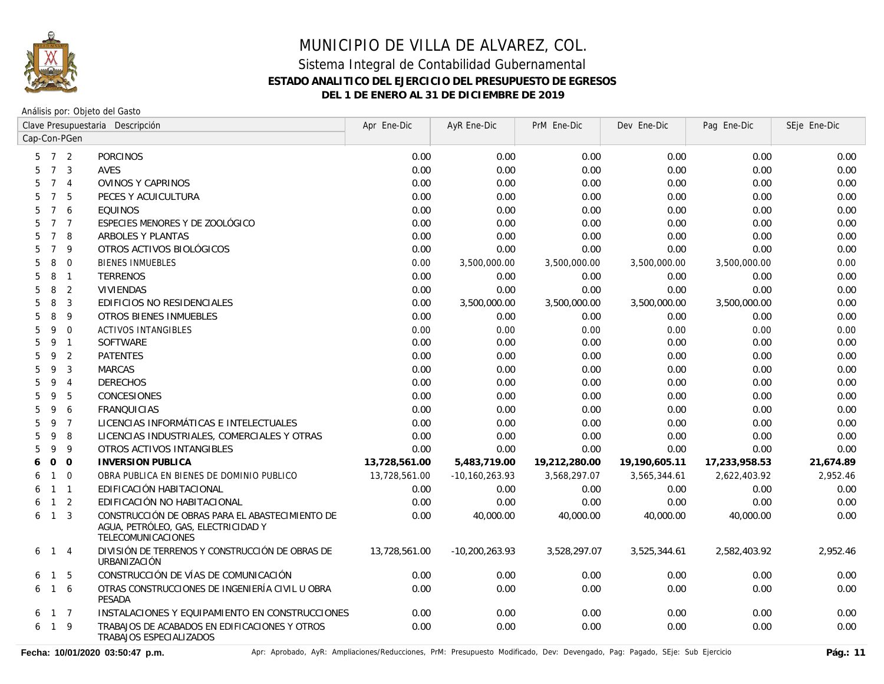

Análisis por: Objeto del Gasto

|                                        | Clave Presupuestaria Descripción                                                                             |               | AyR Ene-Dic        | PrM Ene-Dic   | Dev Ene-Dic   | Pag Ene-Dic   | SEje Ene-Dic |
|----------------------------------------|--------------------------------------------------------------------------------------------------------------|---------------|--------------------|---------------|---------------|---------------|--------------|
| Cap-Con-PGen                           |                                                                                                              |               |                    |               |               |               |              |
| $7\overline{ }$<br>2<br>5              | <b>PORCINOS</b>                                                                                              | 0.00          | 0.00               | 0.00          | 0.00          | 0.00          | 0.00         |
| $\overline{7}$<br>$\overline{3}$<br>5  | <b>AVES</b>                                                                                                  | 0.00          | 0.00               | 0.00          | 0.00          | 0.00          | 0.00         |
| $7^{\circ}$<br>5<br>$\overline{4}$     | OVINOS Y CAPRINOS                                                                                            | 0.00          | 0.00               | 0.00          | 0.00          | 0.00          | 0.00         |
| 5<br>$\overline{7}$<br>5               | PECES Y ACUICULTURA                                                                                          | 0.00          | 0.00               | 0.00          | 0.00          | 0.00          | 0.00         |
| 5<br>$7\overline{ }$<br>6              | <b>EQUINOS</b>                                                                                               | 0.00          | 0.00               | 0.00          | 0.00          | 0.00          | 0.00         |
| 5<br>$7\overline{ }$<br>$\overline{7}$ | ESPECIES MENORES Y DE ZOOLÓGICO                                                                              | 0.00          | 0.00               | 0.00          | 0.00          | 0.00          | 0.00         |
| 5<br>$\overline{7}$<br>8               | ARBOLES Y PLANTAS                                                                                            | 0.00          | 0.00               | 0.00          | 0.00          | 0.00          | 0.00         |
| $\overline{7}$<br>9<br>5               | OTROS ACTIVOS BIOLÓGICOS                                                                                     | 0.00          | 0.00               | 0.00          | 0.00          | 0.00          | 0.00         |
| $\overline{0}$<br>5<br>8               | <b>BIENES INMUEBLES</b>                                                                                      | 0.00          | 3,500,000.00       | 3,500,000.00  | 3,500,000.00  | 3,500,000.00  | 0.00         |
| 5<br>8<br>$\overline{1}$               | <b>TERRENOS</b>                                                                                              | 0.00          | 0.00               | 0.00          | 0.00          | 0.00          | 0.00         |
| 2<br>5<br>8                            | <b>VIVIENDAS</b>                                                                                             | 0.00          | 0.00               | 0.00          | 0.00          | 0.00          | 0.00         |
| 8<br>3<br>5                            | EDIFICIOS NO RESIDENCIALES                                                                                   | 0.00          | 3,500,000.00       | 3,500,000.00  | 3,500,000.00  | 3,500,000.00  | 0.00         |
| 9<br>5<br>8                            | <b>OTROS BIENES INMUEBLES</b>                                                                                | 0.00          | 0.00               | 0.00          | 0.00          | 0.00          | 0.00         |
| 5<br>$\Omega$<br>9                     | <b>ACTIVOS INTANGIBLES</b>                                                                                   | 0.00          | 0.00               | 0.00          | 0.00          | 0.00          | 0.00         |
| 5<br>9<br>$\overline{1}$               | SOFTWARE                                                                                                     | 0.00          | 0.00               | 0.00          | 0.00          | 0.00          | 0.00         |
| 5<br>9<br>2                            | <b>PATENTES</b>                                                                                              | 0.00          | 0.00               | 0.00          | 0.00          | 0.00          | 0.00         |
| 3<br>5<br>9                            | <b>MARCAS</b>                                                                                                | 0.00          | 0.00               | 0.00          | 0.00          | 0.00          | 0.00         |
| 5<br>9<br>$\overline{4}$               | <b>DERECHOS</b>                                                                                              | 0.00          | 0.00               | 0.00          | 0.00          | 0.00          | 0.00         |
| 9<br>5<br>5                            | CONCESIONES                                                                                                  | 0.00          | 0.00               | 0.00          | 0.00          | 0.00          | 0.00         |
| 5<br>9<br>6                            | <b>FRANQUICIAS</b>                                                                                           | 0.00          | 0.00               | 0.00          | 0.00          | 0.00          | 0.00         |
| 5<br>9<br>$\overline{7}$               | LICENCIAS INFORMÁTICAS E INTELECTUALES                                                                       | 0.00          | 0.00               | 0.00          | 0.00          | 0.00          | 0.00         |
| 9<br>8<br>5                            | LICENCIAS INDUSTRIALES, COMERCIALES Y OTRAS                                                                  | 0.00          | 0.00               | 0.00          | 0.00          | 0.00          | 0.00         |
| 5<br>9<br>9                            | OTROS ACTIVOS INTANGIBLES                                                                                    | 0.00          | 0.00               | 0.00          | 0.00          | 0.00          | 0.00         |
| $\overline{0}$<br>$\mathbf 0$<br>6     | <b>INVERSION PUBLICA</b>                                                                                     | 13,728,561.00 | 5,483,719.00       | 19,212,280.00 | 19,190,605.11 | 17,233,958.53 | 21,674.89    |
| $\mathbf 0$<br>$\mathbf{1}$<br>6       | OBRA PUBLICA EN BIENES DE DOMINIO PUBLICO                                                                    | 13,728,561.00 | $-10, 160, 263.93$ | 3,568,297.07  | 3,565,344.61  | 2,622,403.92  | 2,952.46     |
| $\overline{1}$<br>$\mathbf{1}$<br>6    | EDIFICACIÓN HABITACIONAL                                                                                     | 0.00          | 0.00               | 0.00          | 0.00          | 0.00          | 0.00         |
| 2<br>$\mathbf{1}$<br>6                 | EDIFICACIÓN NO HABITACIONAL                                                                                  | 0.00          | 0.00               | 0.00          | 0.00          | 0.00          | 0.00         |
| $\mathbf{3}$<br>$\mathbf{1}$<br>6      | CONSTRUCCIÓN DE OBRAS PARA EL ABASTECIMIENTO DE<br>AGUA, PETRÓLEO, GAS, ELECTRICIDAD Y<br>TELECOMUNICACIONES | 0.00          | 40,000.00          | 40,000.00     | 40,000.00     | 40,000.00     | 0.00         |
| $\overline{4}$<br>6<br>$\mathbf{1}$    | DIVISIÓN DE TERRENOS Y CONSTRUCCIÓN DE OBRAS DE<br><b>URBANIZACIÓN</b>                                       | 13,728,561.00 | $-10,200,263.93$   | 3,528,297.07  | 3,525,344.61  | 2,582,403.92  | 2,952.46     |
| -5<br>$\overline{1}$<br>6              | CONSTRUCCIÓN DE VÍAS DE COMUNICACIÓN                                                                         | 0.00          | 0.00               | 0.00          | 0.00          | 0.00          | 0.00         |
| 6<br>$\overline{1}$<br>6               | OTRAS CONSTRUCCIONES DE INGENIERÍA CIVIL U OBRA<br>PESADA                                                    | 0.00          | 0.00               | 0.00          | 0.00          | 0.00          | 0.00         |
| $1 \quad 7$<br>6                       | INSTALACIONES Y EQUIPAMIENTO EN CONSTRUCCIONES                                                               | 0.00          | 0.00               | 0.00          | 0.00          | 0.00          | 0.00         |
| $1 \quad 9$<br>6                       | TRABAJOS DE ACABADOS EN EDIFICACIONES Y OTROS<br>TRABAJOS ESPECIALIZADOS                                     | 0.00          | 0.00               | 0.00          | 0.00          | 0.00          | 0.00         |

Fecha: 10/01/2020 03:50:47 p.m. <br>Pág.: 11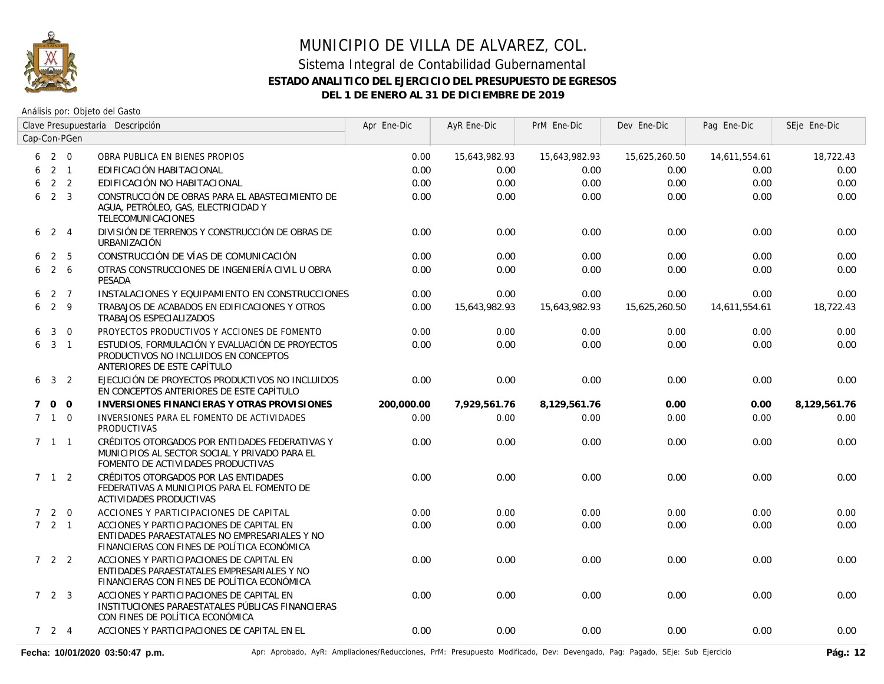

Análisis por: Objeto del Gasto

|             |                     |                | Clave Presupuestaria Descripción                                                                                                         | Apr Ene-Dic | AyR Ene-Dic   | PrM Ene-Dic   | Dev Ene-Dic   | Pag Ene-Dic   | SEje Ene-Dic |
|-------------|---------------------|----------------|------------------------------------------------------------------------------------------------------------------------------------------|-------------|---------------|---------------|---------------|---------------|--------------|
|             |                     | Cap-Con-PGen   |                                                                                                                                          |             |               |               |               |               |              |
| 6           | $2 \quad 0$         |                | OBRA PUBLICA EN BIENES PROPIOS                                                                                                           | 0.00        | 15,643,982.93 | 15,643,982.93 | 15,625,260.50 | 14,611,554.61 | 18,722.43    |
| 6           |                     | $2 \quad 1$    | EDIFICACIÓN HABITACIONAL                                                                                                                 | 0.00        | 0.00          | 0.00          | 0.00          | 0.00          | 0.00         |
| 6           |                     | 2 <sub>2</sub> | EDIFICACIÓN NO HABITACIONAL                                                                                                              | 0.00        | 0.00          | 0.00          | 0.00          | 0.00          | 0.00         |
| 6           |                     | 2 <sup>3</sup> | CONSTRUCCIÓN DE OBRAS PARA EL ABASTECIMIENTO DE<br>AGUA, PETRÓLEO, GAS, ELECTRICIDAD Y<br>TELECOMUNICACIONES                             | 0.00        | 0.00          | 0.00          | 0.00          | 0.00          | 0.00         |
| 6           | $2 \quad 4$         |                | DIVISIÓN DE TERRENOS Y CONSTRUCCIÓN DE OBRAS DE<br>URBANIZACIÓN                                                                          | 0.00        | 0.00          | 0.00          | 0.00          | 0.00          | 0.00         |
| 6           |                     | 2 <sub>5</sub> | CONSTRUCCIÓN DE VÍAS DE COMUNICACIÓN                                                                                                     | 0.00        | 0.00          | 0.00          | 0.00          | 0.00          | 0.00         |
| 6           |                     | $2\quad 6$     | OTRAS CONSTRUCCIONES DE INGENIERÍA CIVIL U OBRA<br>PESADA                                                                                | 0.00        | 0.00          | 0.00          | 0.00          | 0.00          | 0.00         |
| 6           |                     | 2 7            | INSTALACIONES Y EQUIPAMIENTO EN CONSTRUCCIONES                                                                                           | 0.00        | 0.00          | 0.00          | 0.00          | 0.00          | 0.00         |
| 6           | 2 9                 |                | TRABAJOS DE ACABADOS EN EDIFICACIONES Y OTROS<br><b>TRABAJOS ESPECIALIZADOS</b>                                                          | 0.00        | 15,643,982.93 | 15,643,982.93 | 15,625,260.50 | 14,611,554.61 | 18,722.43    |
| 6           | 3                   | $\overline{0}$ | PROYECTOS PRODUCTIVOS Y ACCIONES DE FOMENTO                                                                                              | 0.00        | 0.00          | 0.00          | 0.00          | 0.00          | 0.00         |
| 6           | 3 <sub>1</sub>      |                | ESTUDIOS, FORMULACIÓN Y EVALUACIÓN DE PROYECTOS<br>PRODUCTIVOS NO INCLUIDOS EN CONCEPTOS<br>ANTERIORES DE ESTE CAPÍTULO                  | 0.00        | 0.00          | 0.00          | 0.00          | 0.00          | 0.00         |
| 6           | 3 <sub>2</sub>      |                | EJECUCIÓN DE PROYECTOS PRODUCTIVOS NO INCLUIDOS<br>EN CONCEPTOS ANTERIORES DE ESTE CAPÍTULO                                              | 0.00        | 0.00          | 0.00          | 0.00          | 0.00          | 0.00         |
| $7^{\circ}$ | $0\quad 0$          |                | INVERSIONES FINANCIERAS Y OTRAS PROVISIONES                                                                                              | 200,000.00  | 7,929,561.76  | 8,129,561.76  | 0.00          | 0.00          | 8,129,561.76 |
|             | $7 \quad 1 \quad 0$ |                | INVERSIONES PARA EL FOMENTO DE ACTIVIDADES<br><b>PRODUCTIVAS</b>                                                                         | 0.00        | 0.00          | 0.00          | 0.00          | 0.00          | 0.00         |
|             | $7 \quad 1 \quad 1$ |                | CRÉDITOS OTORGADOS POR ENTIDADES FEDERATIVAS Y<br>MUNICIPIOS AL SECTOR SOCIAL Y PRIVADO PARA EL<br>FOMENTO DE ACTIVIDADES PRODUCTIVAS    | 0.00        | 0.00          | 0.00          | 0.00          | 0.00          | 0.00         |
|             | 7 1 2               |                | CRÉDITOS OTORGADOS POR LAS ENTIDADES<br>FEDERATIVAS A MUNICIPIOS PARA EL FOMENTO DE<br><b>ACTIVIDADES PRODUCTIVAS</b>                    | 0.00        | 0.00          | 0.00          | 0.00          | 0.00          | 0.00         |
|             | $7 2 0$             |                | ACCIONES Y PARTICIPACIONES DE CAPITAL                                                                                                    | 0.00        | 0.00          | 0.00          | 0.00          | 0.00          | 0.00         |
|             | $7 \quad 2 \quad 1$ |                | ACCIONES Y PARTICIPACIONES DE CAPITAL EN<br>ENTIDADES PARAESTATALES NO EMPRESARIALES Y NO<br>FINANCIERAS CON FINES DE POLÍTICA ECONÓMICA | 0.00        | 0.00          | 0.00          | 0.00          | 0.00          | 0.00         |
|             | $722$               |                | ACCIONES Y PARTICIPACIONES DE CAPITAL EN<br>ENTIDADES PARAESTATALES EMPRESARIALES Y NO<br>FINANCIERAS CON FINES DE POLÍTICA ECONÓMICA    | 0.00        | 0.00          | 0.00          | 0.00          | 0.00          | 0.00         |
|             | 723                 |                | ACCIONES Y PARTICIPACIONES DE CAPITAL EN<br>INSTITUCIONES PARAESTATALES PÚBLICAS FINANCIERAS<br>CON FINES DE POLÍTICA ECONÓMICA          | 0.00        | 0.00          | 0.00          | 0.00          | 0.00          | 0.00         |
|             | 724                 |                | ACCIONES Y PARTICIPACIONES DE CAPITAL EN EL                                                                                              | 0.00        | 0.00          | 0.00          | 0.00          | 0.00          | 0.00         |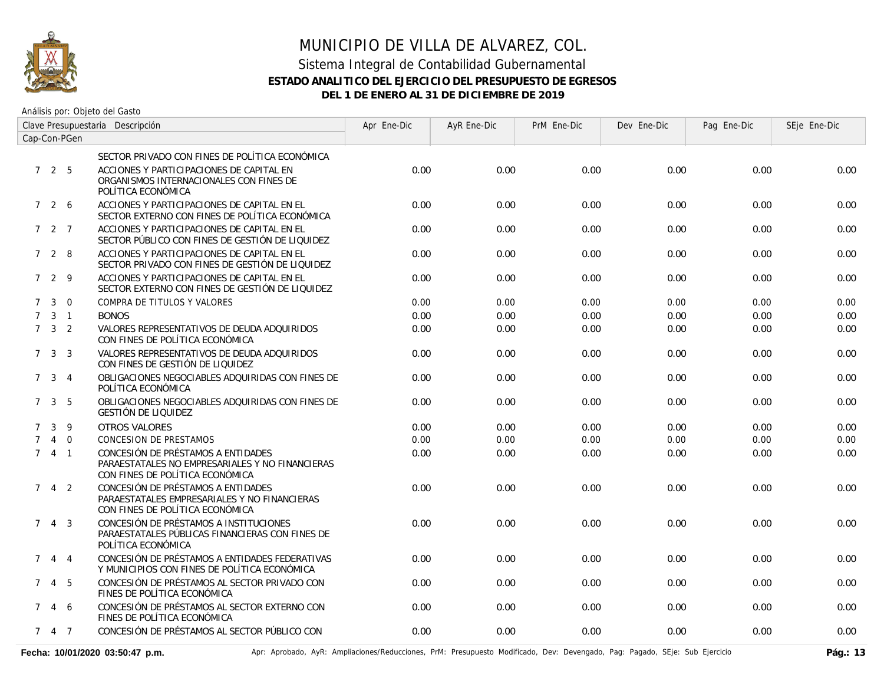

Análisis por: Objeto del Gasto

| Clave Presupuestaria Descripción<br>Cap-Con-PGen |                     |             |                                                                                                                          | Apr Ene-Dic | AyR Ene-Dic | PrM Ene-Dic | Dev Ene-Dic | Pag Ene-Dic | SEje Ene-Dic |
|--------------------------------------------------|---------------------|-------------|--------------------------------------------------------------------------------------------------------------------------|-------------|-------------|-------------|-------------|-------------|--------------|
|                                                  |                     |             |                                                                                                                          |             |             |             |             |             |              |
|                                                  |                     |             | SECTOR PRIVADO CON FINES DE POLÍTICA ECONÓMICA                                                                           |             |             |             |             |             |              |
|                                                  | 725                 |             | ACCIONES Y PARTICIPACIONES DE CAPITAL EN<br>ORGANISMOS INTERNACIONALES CON FINES DE<br>POLÍTICA ECONÓMICA                | 0.00        | 0.00        | 0.00        | 0.00        | 0.00        | 0.00         |
|                                                  | 726                 |             | ACCIONES Y PARTICIPACIONES DE CAPITAL EN EL<br>SECTOR EXTERNO CON FINES DE POLÍTICA ECONÓMICA                            | 0.00        | 0.00        | 0.00        | 0.00        | 0.00        | 0.00         |
|                                                  | 7 2 7               |             | ACCIONES Y PARTICIPACIONES DE CAPITAL EN EL<br>SECTOR PÚBLICO CON FINES DE GESTIÓN DE LIQUIDEZ                           | 0.00        | 0.00        | 0.00        | 0.00        | 0.00        | 0.00         |
|                                                  | 7 2 8               |             | ACCIONES Y PARTICIPACIONES DE CAPITAL EN EL<br>SECTOR PRIVADO CON FINES DE GESTIÓN DE LIQUIDEZ                           | 0.00        | 0.00        | 0.00        | 0.00        | 0.00        | 0.00         |
|                                                  | 729                 |             | ACCIONES Y PARTICIPACIONES DE CAPITAL EN EL<br>SECTOR EXTERNO CON FINES DE GESTIÓN DE LIQUIDEZ                           | 0.00        | 0.00        | 0.00        | 0.00        | 0.00        | 0.00         |
| $7^{\circ}$                                      |                     | $3 \quad 0$ | COMPRA DE TITULOS Y VALORES                                                                                              | 0.00        | 0.00        | 0.00        | 0.00        | 0.00        | 0.00         |
|                                                  | $7 \quad 3 \quad 1$ |             | <b>BONOS</b>                                                                                                             | 0.00        | 0.00        | 0.00        | 0.00        | 0.00        | 0.00         |
|                                                  | $7 \quad 3 \quad 2$ |             | VALORES REPRESENTATIVOS DE DEUDA ADQUIRIDOS<br>CON FINES DE POLÍTICA ECONÓMICA                                           | 0.00        | 0.00        | 0.00        | 0.00        | 0.00        | 0.00         |
|                                                  | $7 \quad 3 \quad 3$ |             | VALORES REPRESENTATIVOS DE DEUDA ADQUIRIDOS<br>CON FINES DE GESTIÓN DE LIQUIDEZ                                          | 0.00        | 0.00        | 0.00        | 0.00        | 0.00        | 0.00         |
|                                                  | $7 \quad 3 \quad 4$ |             | OBLIGACIONES NEGOCIABLES ADQUIRIDAS CON FINES DE<br>POLÍTICA ECONÓMICA                                                   | 0.00        | 0.00        | 0.00        | 0.00        | 0.00        | 0.00         |
|                                                  | $7 \quad 3 \quad 5$ |             | OBLIGACIONES NEGOCIABLES ADQUIRIDAS CON FINES DE<br><b>GESTIÓN DE LIQUIDEZ</b>                                           | 0.00        | 0.00        | 0.00        | 0.00        | 0.00        | 0.00         |
|                                                  | 7 <sup>3</sup>      | 9           | <b>OTROS VALORES</b>                                                                                                     | 0.00        | 0.00        | 0.00        | 0.00        | 0.00        | 0.00         |
| $7^{\circ}$                                      |                     | 4 0         | CONCESION DE PRESTAMOS                                                                                                   | 0.00        | 0.00        | 0.00        | 0.00        | 0.00        | 0.00         |
|                                                  | $741$               |             | CONCESIÓN DE PRÉSTAMOS A ENTIDADES<br>PARAESTATALES NO EMPRESARIALES Y NO FINANCIERAS<br>CON FINES DE POLÍTICA ECONÓMICA | 0.00        | 0.00        | 0.00        | 0.00        | 0.00        | 0.00         |
| $7^{\circ}$                                      |                     | 4 2         | CONCESIÓN DE PRÉSTAMOS A ENTIDADES<br>PARAESTATALES EMPRESARIALES Y NO FINANCIERAS<br>CON FINES DE POLÍTICA ECONÓMICA    | 0.00        | 0.00        | 0.00        | 0.00        | 0.00        | 0.00         |
|                                                  | $7\quad 4\quad 3$   |             | CONCESIÓN DE PRÉSTAMOS A INSTITUCIONES<br>PARAESTATALES PÚBLICAS FINANCIERAS CON FINES DE<br>POLÍTICA ECONÓMICA          | 0.00        | 0.00        | 0.00        | 0.00        | 0.00        | 0.00         |
| $7^{\circ}$                                      |                     | $4 \quad 4$ | CONCESIÓN DE PRÉSTAMOS A ENTIDADES FEDERATIVAS<br>Y MUNICIPIOS CON FINES DE POLÍTICA ECONÓMICA                           | 0.00        | 0.00        | 0.00        | 0.00        | 0.00        | 0.00         |
|                                                  | 7 4 5               |             | CONCESIÓN DE PRÉSTAMOS AL SECTOR PRIVADO CON<br>FINES DE POLÍTICA ECONÓMICA                                              | 0.00        | 0.00        | 0.00        | 0.00        | 0.00        | 0.00         |
|                                                  | 7 4 6               |             | CONCESIÓN DE PRÉSTAMOS AL SECTOR EXTERNO CON<br>FINES DE POLÍTICA ECONÓMICA                                              | 0.00        | 0.00        | 0.00        | 0.00        | 0.00        | 0.00         |
|                                                  | 7 4 7               |             | CONCESIÓN DE PRÉSTAMOS AL SECTOR PÚBLICO CON                                                                             | 0.00        | 0.00        | 0.00        | 0.00        | 0.00        | 0.00         |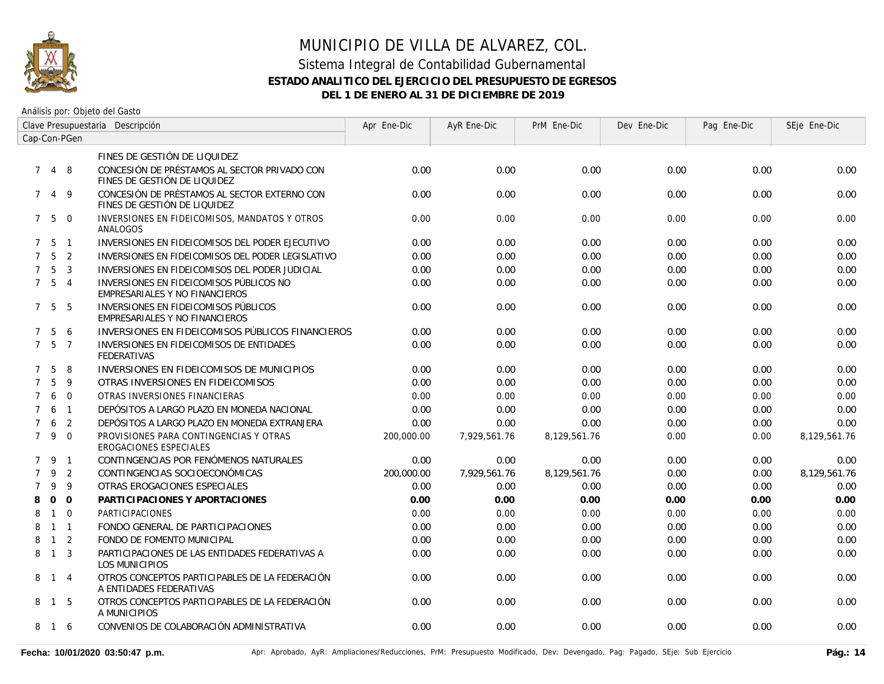

| Clave Presupuestaria Descripción |                   |                |                                                                              | Apr Ene-Dic | AyR Ene-Dic  | PrM Ene-Dic  | Dev Ene-Dic | Pag Ene-Dic | SEje Ene-Dic |
|----------------------------------|-------------------|----------------|------------------------------------------------------------------------------|-------------|--------------|--------------|-------------|-------------|--------------|
| Cap-Con-PGen                     |                   |                |                                                                              |             |              |              |             |             |              |
|                                  |                   |                | FINES DE GESTIÓN DE LIQUIDEZ                                                 |             |              |              |             |             |              |
| $7^{\circ}$                      | $\overline{4}$    | 8              | CONCESIÓN DE PRÉSTAMOS AL SECTOR PRIVADO CON<br>FINES DE GESTIÓN DE LIQUIDEZ | 0.00        | 0.00         | 0.00         | 0.00        | 0.00        | 0.00         |
| 7                                | 4                 | 9              | CONCESIÓN DE PRÉSTAMOS AL SECTOR EXTERNO CON<br>FINES DE GESTIÓN DE LIQUIDEZ | 0.00        | 0.00         | 0.00         | 0.00        | 0.00        | 0.00         |
|                                  | 750               |                | INVERSIONES EN FIDEICOMISOS, MANDATOS Y OTROS<br>ANALOGOS                    | 0.00        | 0.00         | 0.00         | 0.00        | 0.00        | 0.00         |
|                                  | $7\quad 5\quad 1$ |                | INVERSIONES EN FIDEICOMISOS DEL PODER EJECUTIVO                              | 0.00        | 0.00         | 0.00         | 0.00        | 0.00        | 0.00         |
| $7^{\circ}$                      | 5 <sub>2</sub>    |                | INVERSIONES EN FIDEICOMISOS DEL PODER LEGISLATIVO                            | 0.00        | 0.00         | 0.00         | 0.00        | 0.00        | 0.00         |
| $\overline{7}$                   | 5                 | $\overline{3}$ | INVERSIONES EN FIDEICOMISOS DEL PODER JUDICIAL                               | 0.00        | 0.00         | 0.00         | 0.00        | 0.00        | 0.00         |
|                                  | 7 <sub>5</sub>    | $\overline{4}$ | INVERSIONES EN FIDEICOMISOS PÚBLICOS NO<br>EMPRESARIALES Y NO FINANCIEROS    | 0.00        | 0.00         | 0.00         | 0.00        | 0.00        | 0.00         |
|                                  | 7 5               | - 5            | INVERSIONES EN FIDEICOMISOS PÚBLICOS<br>EMPRESARIALES Y NO FINANCIEROS       | 0.00        | 0.00         | 0.00         | 0.00        | 0.00        | 0.00         |
| $7^{\circ}$                      | 5                 | 6              | INVERSIONES EN FIDEICOMISOS PÚBLICOS FINANCIEROS                             | 0.00        | 0.00         | 0.00         | 0.00        | 0.00        | 0.00         |
| $7^{\circ}$                      | 5                 | $\overline{7}$ | INVERSIONES EN FIDEICOMISOS DE ENTIDADES<br><b>FEDERATIVAS</b>               | 0.00        | 0.00         | 0.00         | 0.00        | 0.00        | 0.00         |
| $\overline{7}$                   | 5                 | 8              | INVERSIONES EN FIDEICOMISOS DE MUNICIPIOS                                    | 0.00        | 0.00         | 0.00         | 0.00        | 0.00        | 0.00         |
| $\overline{7}$                   | 5                 | 9              | OTRAS INVERSIONES EN FIDEICOMISOS                                            | 0.00        | 0.00         | 0.00         | 0.00        | 0.00        | 0.00         |
| $\overline{7}$                   | 6                 | $\overline{0}$ | OTRAS INVERSIONES FINANCIERAS                                                | 0.00        | 0.00         | 0.00         | 0.00        | 0.00        | 0.00         |
| $\overline{7}$                   | 6                 | $\overline{1}$ | DEPÓSITOS A LARGO PLAZO EN MONEDA NACIONAL                                   | 0.00        | 0.00         | 0.00         | 0.00        | 0.00        | 0.00         |
| $\overline{7}$                   | 6                 | 2              | DEPÓSITOS A LARGO PLAZO EN MONEDA EXTRANJERA                                 | 0.00        | 0.00         | 0.00         | 0.00        | 0.00        | 0.00         |
| $7^{\circ}$                      | 9                 | $\overline{0}$ | PROVISIONES PARA CONTINGENCIAS Y OTRAS<br>EROGACIONES ESPECIALES             | 200,000.00  | 7,929,561.76 | 8,129,561.76 | 0.00        | 0.00        | 8,129,561.76 |
|                                  | 7 9               | $\overline{1}$ | CONTINGENCIAS POR FENÓMENOS NATURALES                                        | 0.00        | 0.00         | 0.00         | 0.00        | 0.00        | 0.00         |
| $\overline{7}$                   | 9                 | $\overline{2}$ | CONTINGENCIAS SOCIOECONÓMICAS                                                | 200,000.00  | 7,929,561.76 | 8,129,561.76 | 0.00        | 0.00        | 8,129,561.76 |
| $\overline{7}$                   | 9                 | 9              | OTRAS EROGACIONES ESPECIALES                                                 | 0.00        | 0.00         | 0.00         | 0.00        | 0.00        | 0.00         |
| 8                                | $\mathbf{0}$      | $\overline{0}$ | PARTICIPACIONES Y APORTACIONES                                               | 0.00        | 0.00         | 0.00         | 0.00        | 0.00        | 0.00         |
| 8                                | $\mathbf{1}$      | $\overline{0}$ | PARTICIPACIONES                                                              | 0.00        | 0.00         | 0.00         | 0.00        | 0.00        | 0.00         |
| 8                                |                   | $1 \quad 1$    | FONDO GENERAL DE PARTICIPACIONES                                             | 0.00        | 0.00         | 0.00         | 0.00        | 0.00        | 0.00         |
| 8                                | $\mathbf{1}$      | $\overline{2}$ | FONDO DE FOMENTO MUNICIPAL                                                   | 0.00        | 0.00         | 0.00         | 0.00        | 0.00        | 0.00         |
| 8                                | $\overline{1}$    | $\overline{3}$ | PARTICIPACIONES DE LAS ENTIDADES FEDERATIVAS A<br><b>LOS MUNICIPIOS</b>      | 0.00        | 0.00         | 0.00         | 0.00        | 0.00        | 0.00         |
|                                  | 8 1 4             |                | OTROS CONCEPTOS PARTICIPABLES DE LA FEDERACIÓN<br>A ENTIDADES FEDERATIVAS    | 0.00        | 0.00         | 0.00         | 0.00        | 0.00        | 0.00         |
| 8                                | $\overline{1}$    | -5             | OTROS CONCEPTOS PARTICIPABLES DE LA FEDERACIÓN<br>A MUNICIPIOS               | 0.00        | 0.00         | 0.00         | 0.00        | 0.00        | 0.00         |
| 8                                | $\overline{1}$    | -6             | CONVENIOS DE COLABORACIÓN ADMINISTRATIVA                                     | 0.00        | 0.00         | 0.00         | 0.00        | 0.00        | 0.00         |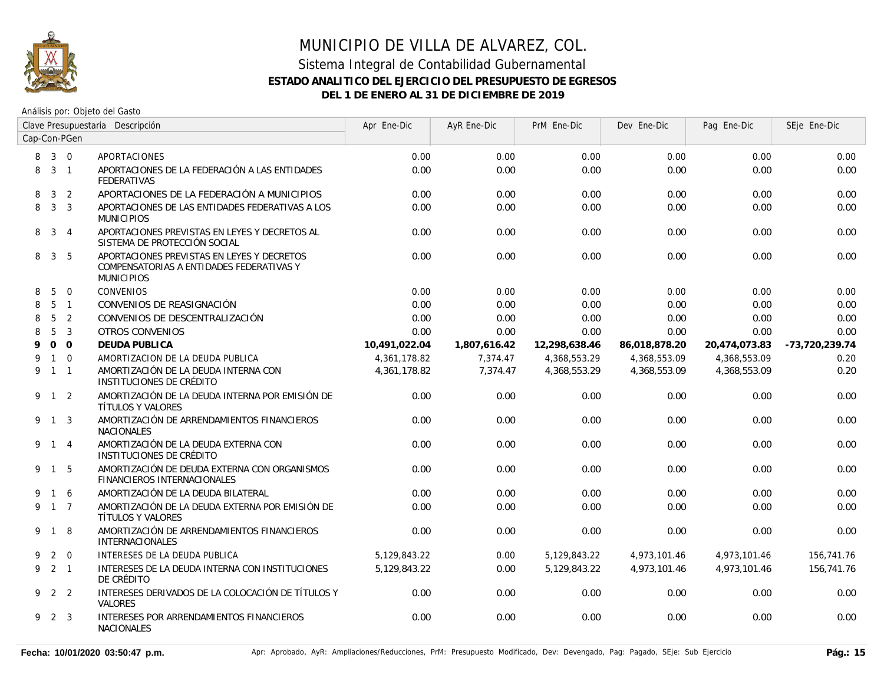

| Clave Presupuestaria Descripción<br>Cap-Con-PGen |                 |                |                                                                                                             | Apr Ene-Dic   | AyR Ene-Dic  | PrM Ene-Dic   | Dev Ene-Dic   | Pag Ene-Dic   | SEje Ene-Dic     |
|--------------------------------------------------|-----------------|----------------|-------------------------------------------------------------------------------------------------------------|---------------|--------------|---------------|---------------|---------------|------------------|
|                                                  |                 |                |                                                                                                             |               |              |               |               |               |                  |
| 8                                                | $3 \quad 0$     |                | <b>APORTACIONES</b>                                                                                         | 0.00          | 0.00         | 0.00          | 0.00          | 0.00          | 0.00             |
| 8                                                | 3 <sub>1</sub>  |                | APORTACIONES DE LA FEDERACIÓN A LAS ENTIDADES<br><b>FEDERATIVAS</b>                                         | 0.00          | 0.00         | 0.00          | 0.00          | 0.00          | 0.00             |
| 8                                                | $\mathbf{3}$    | $\overline{2}$ | APORTACIONES DE LA FEDERACIÓN A MUNICIPIOS                                                                  | 0.00          | 0.00         | 0.00          | 0.00          | 0.00          | 0.00             |
| 8                                                |                 | 3 <sup>3</sup> | APORTACIONES DE LAS ENTIDADES FEDERATIVAS A LOS<br><b>MUNICIPIOS</b>                                        | 0.00          | 0.00         | 0.00          | 0.00          | 0.00          | 0.00             |
|                                                  | 8 3 4           |                | APORTACIONES PREVISTAS EN LEYES Y DECRETOS AL<br>SISTEMA DE PROTECCIÓN SOCIAL                               | 0.00          | 0.00         | 0.00          | 0.00          | 0.00          | 0.00             |
| 8                                                | $\mathbf{3}$    | - 5            | APORTACIONES PREVISTAS EN LEYES Y DECRETOS<br>COMPENSATORIAS A ENTIDADES FEDERATIVAS Y<br><b>MUNICIPIOS</b> | 0.00          | 0.00         | 0.00          | 0.00          | 0.00          | 0.00             |
| 8                                                | 5               | $\overline{0}$ | <b>CONVENIOS</b>                                                                                            | 0.00          | 0.00         | 0.00          | 0.00          | 0.00          | 0.00             |
| 8                                                | $5\overline{)}$ | $\overline{1}$ | CONVENIOS DE REASIGNACIÓN                                                                                   | 0.00          | 0.00         | 0.00          | 0.00          | 0.00          | 0.00             |
| 8                                                | 5               | $\overline{2}$ | CONVENIOS DE DESCENTRALIZACIÓN                                                                              | 0.00          | 0.00         | 0.00          | 0.00          | 0.00          | 0.00             |
| 8                                                | 5               | $\mathbf{3}$   | <b>OTROS CONVENIOS</b>                                                                                      | 0.00          | 0.00         | 0.00          | 0.00          | 0.00          | 0.00             |
| 9                                                |                 | 0 <sub>0</sub> | <b>DEUDA PUBLICA</b>                                                                                        | 10,491,022.04 | 1,807,616.42 | 12,298,638.46 | 86,018,878.20 | 20,474,073.83 | $-73,720,239.74$ |
| 9                                                |                 | $1\quad 0$     | AMORTIZACION DE LA DEUDA PUBLICA                                                                            | 4,361,178.82  | 7,374.47     | 4,368,553.29  | 4,368,553.09  | 4,368,553.09  | 0.20             |
| 9                                                | $1\quad1$       |                | AMORTIZACIÓN DE LA DEUDA INTERNA CON<br>INSTITUCIONES DE CRÉDITO                                            | 4,361,178.82  | 7,374.47     | 4,368,553.29  | 4,368,553.09  | 4,368,553.09  | 0.20             |
|                                                  | 9 1 2           |                | AMORTIZACIÓN DE LA DEUDA INTERNA POR EMISIÓN DE<br>TÍTULOS Y VALORES                                        | 0.00          | 0.00         | 0.00          | 0.00          | 0.00          | 0.00             |
|                                                  | 9 1 3           |                | AMORTIZACIÓN DE ARRENDAMIENTOS FINANCIEROS<br><b>NACIONALES</b>                                             | 0.00          | 0.00         | 0.00          | 0.00          | 0.00          | 0.00             |
|                                                  | 9 1 4           |                | AMORTIZACIÓN DE LA DEUDA EXTERNA CON<br>INSTITUCIONES DE CRÉDITO                                            | 0.00          | 0.00         | 0.00          | 0.00          | 0.00          | 0.00             |
|                                                  | 9 1 5           |                | AMORTIZACIÓN DE DEUDA EXTERNA CON ORGANISMOS<br><b>FINANCIEROS INTERNACIONALES</b>                          | 0.00          | 0.00         | 0.00          | 0.00          | 0.00          | 0.00             |
| 9                                                |                 | 1 6            | AMORTIZACIÓN DE LA DEUDA BILATERAL                                                                          | 0.00          | 0.00         | 0.00          | 0.00          | 0.00          | 0.00             |
| 9                                                | $1\quad 7$      |                | AMORTIZACIÓN DE LA DEUDA EXTERNA POR EMISIÓN DE<br>TÍTULOS Y VALORES                                        | 0.00          | 0.00         | 0.00          | 0.00          | 0.00          | 0.00             |
|                                                  | 9 1             | 8              | AMORTIZACIÓN DE ARRENDAMIENTOS FINANCIEROS<br><b>INTERNACIONALES</b>                                        | 0.00          | 0.00         | 0.00          | 0.00          | 0.00          | 0.00             |
| 9                                                |                 | $2 \quad 0$    | INTERESES DE LA DEUDA PUBLICA                                                                               | 5,129,843.22  | 0.00         | 5,129,843.22  | 4,973,101.46  | 4,973,101.46  | 156,741.76       |
| 9                                                | $2 \quad 1$     |                | INTERESES DE LA DEUDA INTERNA CON INSTITUCIONES<br>DE CRÉDITO                                               | 5,129,843.22  | 0.00         | 5,129,843.22  | 4,973,101.46  | 4,973,101.46  | 156,741.76       |
| 9                                                |                 | 2 2            | INTERESES DERIVADOS DE LA COLOCACIÓN DE TÍTULOS Y<br>VALORES                                                | 0.00          | 0.00         | 0.00          | 0.00          | 0.00          | 0.00             |
|                                                  | 9 2 3           |                | INTERESES POR ARRENDAMIENTOS FINANCIEROS<br><b>NACIONALES</b>                                               | 0.00          | 0.00         | 0.00          | 0.00          | 0.00          | 0.00             |